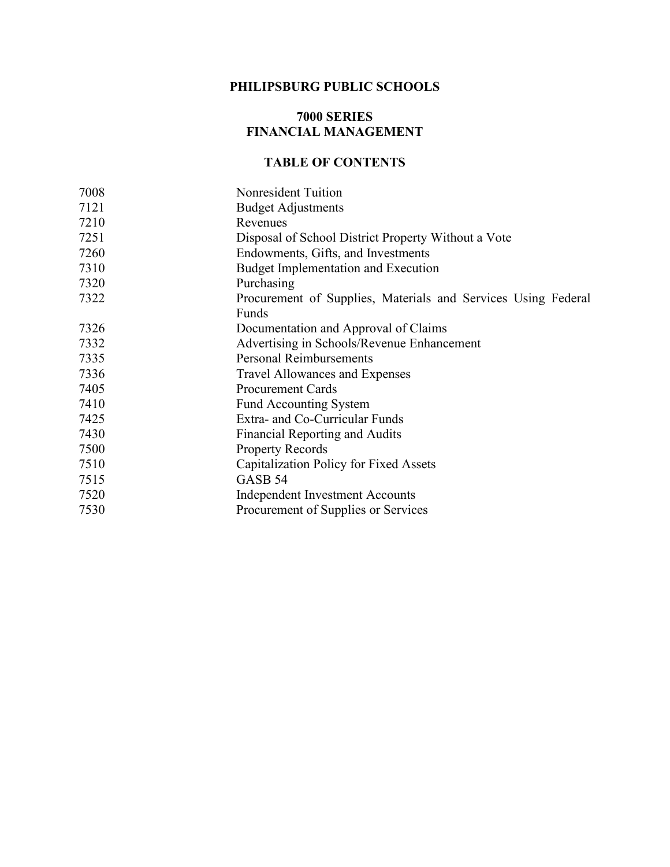#### **PHILIPSBURG PUBLIC SCHOOLS**

#### **7000 SERIES FINANCIAL MANAGEMENT**

## **TABLE OF CONTENTS**

| 7008 | <b>Nonresident Tuition</b>                                    |
|------|---------------------------------------------------------------|
| 7121 | <b>Budget Adjustments</b>                                     |
| 7210 | Revenues                                                      |
| 7251 | Disposal of School District Property Without a Vote           |
| 7260 | Endowments, Gifts, and Investments                            |
| 7310 | Budget Implementation and Execution                           |
| 7320 | Purchasing                                                    |
| 7322 | Procurement of Supplies, Materials and Services Using Federal |
|      | Funds                                                         |
| 7326 | Documentation and Approval of Claims                          |
| 7332 | Advertising in Schools/Revenue Enhancement                    |
| 7335 | <b>Personal Reimbursements</b>                                |
| 7336 | Travel Allowances and Expenses                                |
| 7405 | <b>Procurement Cards</b>                                      |
| 7410 | <b>Fund Accounting System</b>                                 |
| 7425 | Extra- and Co-Curricular Funds                                |
| 7430 | Financial Reporting and Audits                                |
| 7500 | <b>Property Records</b>                                       |
| 7510 | Capitalization Policy for Fixed Assets                        |
| 7515 | GASB <sub>54</sub>                                            |
| 7520 | Independent Investment Accounts                               |
| 7530 | Procurement of Supplies or Services                           |
|      |                                                               |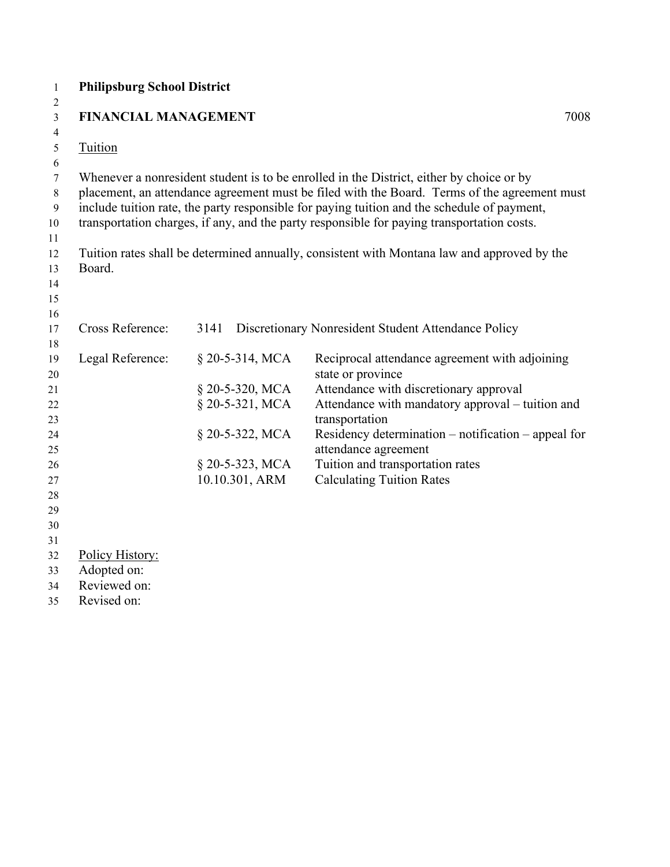| $\mathbf{1}$<br>2 | <b>Philipsburg School District</b> |                   |                                                                                              |
|-------------------|------------------------------------|-------------------|----------------------------------------------------------------------------------------------|
| 3                 | <b>FINANCIAL MANAGEMENT</b>        |                   | 7008                                                                                         |
| 4                 |                                    |                   |                                                                                              |
| 5                 | Tuition                            |                   |                                                                                              |
| 6                 |                                    |                   |                                                                                              |
| $\boldsymbol{7}$  |                                    |                   | Whenever a nonresident student is to be enrolled in the District, either by choice or by     |
| $\,$ $\,$         |                                    |                   | placement, an attendance agreement must be filed with the Board. Terms of the agreement must |
| 9                 |                                    |                   | include tuition rate, the party responsible for paying tuition and the schedule of payment,  |
| 10                |                                    |                   | transportation charges, if any, and the party responsible for paying transportation costs.   |
| 11                |                                    |                   |                                                                                              |
| 12                |                                    |                   | Tuition rates shall be determined annually, consistent with Montana law and approved by the  |
| 13                | Board.                             |                   |                                                                                              |
| 14                |                                    |                   |                                                                                              |
| 15                |                                    |                   |                                                                                              |
| 16                |                                    |                   |                                                                                              |
| 17                | Cross Reference:                   | 3141              | Discretionary Nonresident Student Attendance Policy                                          |
| 18                |                                    |                   |                                                                                              |
| 19                | Legal Reference:                   | $§$ 20-5-314, MCA | Reciprocal attendance agreement with adjoining                                               |
| 20<br>21          |                                    | § 20-5-320, MCA   | state or province<br>Attendance with discretionary approval                                  |
| 22                |                                    | § 20-5-321, MCA   | Attendance with mandatory approval - tuition and                                             |
| 23                |                                    |                   | transportation                                                                               |
| 24                |                                    | § 20-5-322, MCA   | Residency determination – notification – appeal for                                          |
| 25                |                                    |                   | attendance agreement                                                                         |
| 26                |                                    | § 20-5-323, MCA   | Tuition and transportation rates                                                             |
| 27                |                                    | 10.10.301, ARM    | <b>Calculating Tuition Rates</b>                                                             |
| 28                |                                    |                   |                                                                                              |
| 29                |                                    |                   |                                                                                              |
| 30                |                                    |                   |                                                                                              |
| 31                |                                    |                   |                                                                                              |
| 32                | Policy History:                    |                   |                                                                                              |
| 33                | Adopted on:                        |                   |                                                                                              |
| 34                | Reviewed on:                       |                   |                                                                                              |
| 35                | Revised on:                        |                   |                                                                                              |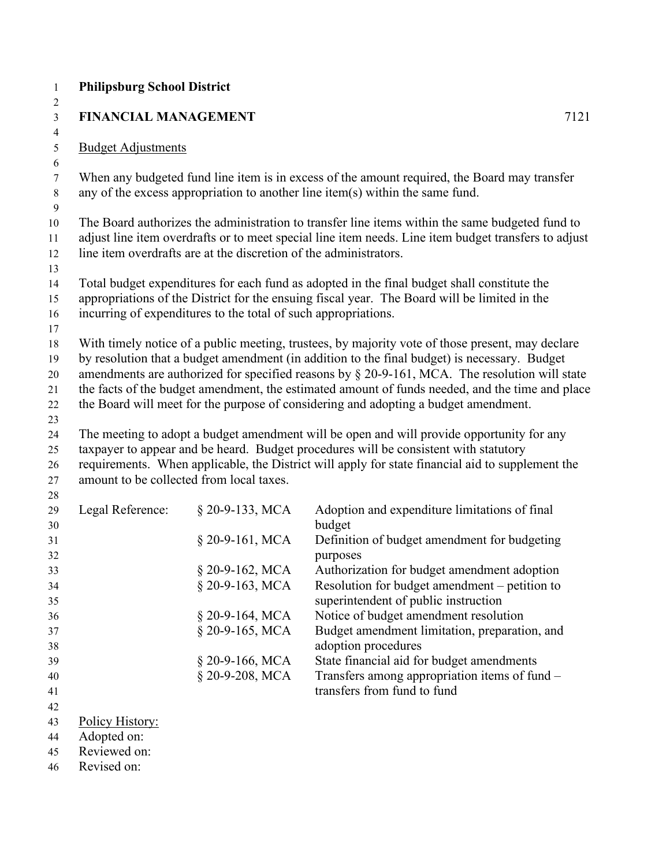|                             | <b>FINANCIAL MANAGEMENT</b>                                       | 7121                                                                                                                                                                                                    |
|-----------------------------|-------------------------------------------------------------------|---------------------------------------------------------------------------------------------------------------------------------------------------------------------------------------------------------|
|                             |                                                                   |                                                                                                                                                                                                         |
| <b>Budget Adjustments</b>   |                                                                   |                                                                                                                                                                                                         |
|                             |                                                                   |                                                                                                                                                                                                         |
|                             |                                                                   | When any budgeted fund line item is in excess of the amount required, the Board may transfer<br>any of the excess appropriation to another line item(s) within the same fund.                           |
|                             | line item overdrafts are at the discretion of the administrators. | The Board authorizes the administration to transfer line items within the same budgeted fund to<br>adjust line item overdrafts or to meet special line item needs. Line item budget transfers to adjust |
|                             |                                                                   |                                                                                                                                                                                                         |
|                             | incurring of expenditures to the total of such appropriations.    | Total budget expenditures for each fund as adopted in the final budget shall constitute the<br>appropriations of the District for the ensuing fiscal year. The Board will be limited in the             |
|                             |                                                                   |                                                                                                                                                                                                         |
|                             |                                                                   | With timely notice of a public meeting, trustees, by majority vote of those present, may declare<br>by resolution that a budget amendment (in addition to the final budget) is necessary. Budget        |
|                             |                                                                   | amendments are authorized for specified reasons by $\S$ 20-9-161, MCA. The resolution will state                                                                                                        |
|                             |                                                                   | the facts of the budget amendment, the estimated amount of funds needed, and the time and place                                                                                                         |
|                             |                                                                   | the Board will meet for the purpose of considering and adopting a budget amendment.                                                                                                                     |
|                             |                                                                   |                                                                                                                                                                                                         |
|                             |                                                                   | The meeting to adopt a budget amendment will be open and will provide opportunity for any<br>taxpayer to appear and be heard. Budget procedures will be consistent with statutory                       |
|                             |                                                                   |                                                                                                                                                                                                         |
|                             | amount to be collected from local taxes.                          |                                                                                                                                                                                                         |
| Legal Reference:            | § 20-9-133, MCA                                                   | Adoption and expenditure limitations of final                                                                                                                                                           |
|                             | $§$ 20-9-161, MCA                                                 | budget<br>Definition of budget amendment for budgeting                                                                                                                                                  |
|                             |                                                                   | purposes<br>Authorization for budget amendment adoption                                                                                                                                                 |
|                             | § 20-9-162, MCA<br>§ 20-9-163, MCA                                | Resolution for budget amendment – petition to                                                                                                                                                           |
|                             | § 20-9-164, MCA                                                   | superintendent of public instruction<br>Notice of budget amendment resolution                                                                                                                           |
|                             | § 20-9-165, MCA                                                   | Budget amendment limitation, preparation, and                                                                                                                                                           |
|                             |                                                                   | adoption procedures                                                                                                                                                                                     |
|                             | § 20-9-166, MCA<br>§ 20-9-208, MCA                                | State financial aid for budget amendments<br>Transfers among appropriation items of fund -<br>transfers from fund to fund                                                                               |
|                             |                                                                   |                                                                                                                                                                                                         |
| Policy History:             |                                                                   |                                                                                                                                                                                                         |
| Adopted on:                 |                                                                   |                                                                                                                                                                                                         |
| Reviewed on:<br>Revised on: |                                                                   | requirements. When applicable, the District will apply for state financial aid to supplement the                                                                                                        |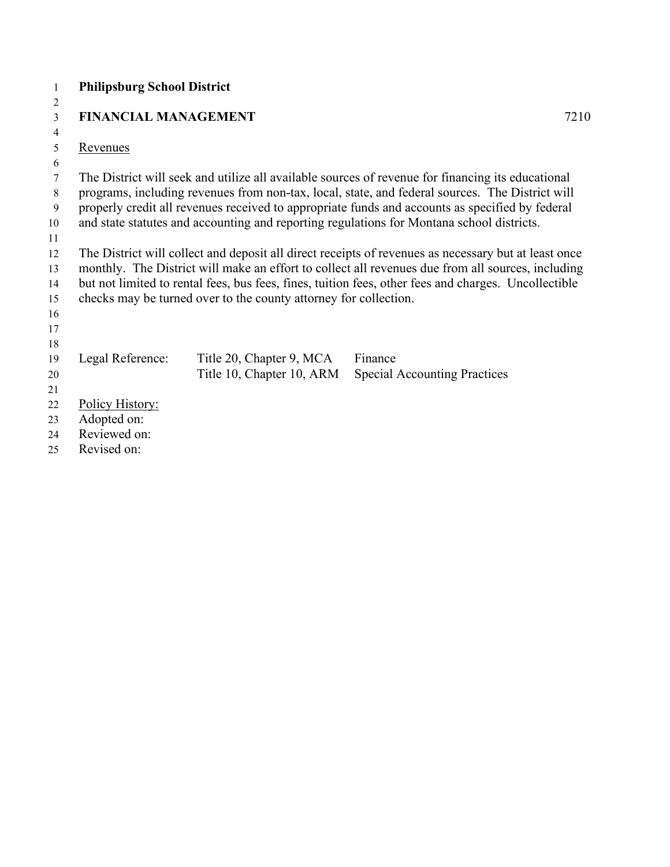| 1        | <b>Philipsburg School District</b> |                                                                  |                                                                                                                                                                                                           |      |
|----------|------------------------------------|------------------------------------------------------------------|-----------------------------------------------------------------------------------------------------------------------------------------------------------------------------------------------------------|------|
| 2        |                                    |                                                                  |                                                                                                                                                                                                           |      |
| 3        | <b>FINANCIAL MANAGEMENT</b>        |                                                                  |                                                                                                                                                                                                           | 7210 |
| 4        |                                    |                                                                  |                                                                                                                                                                                                           |      |
| 5        | <b>Revenues</b>                    |                                                                  |                                                                                                                                                                                                           |      |
| 6        |                                    |                                                                  |                                                                                                                                                                                                           |      |
| 7        |                                    |                                                                  | The District will seek and utilize all available sources of revenue for financing its educational                                                                                                         |      |
| 8        |                                    |                                                                  | programs, including revenues from non-tax, local, state, and federal sources. The District will                                                                                                           |      |
| 9        |                                    |                                                                  | properly credit all revenues received to appropriate funds and accounts as specified by federal                                                                                                           |      |
| 10       |                                    |                                                                  | and state statutes and accounting and reporting regulations for Montana school districts.                                                                                                                 |      |
| 11       |                                    |                                                                  |                                                                                                                                                                                                           |      |
| 12<br>13 |                                    |                                                                  | The District will collect and deposit all direct receipts of revenues as necessary but at least once<br>monthly. The District will make an effort to collect all revenues due from all sources, including |      |
| 14       |                                    |                                                                  | but not limited to rental fees, bus fees, fines, tuition fees, other fees and charges. Uncollectible                                                                                                      |      |
| 15       |                                    | checks may be turned over to the county attorney for collection. |                                                                                                                                                                                                           |      |
| 16       |                                    |                                                                  |                                                                                                                                                                                                           |      |
| 17       |                                    |                                                                  |                                                                                                                                                                                                           |      |
| 18       |                                    |                                                                  |                                                                                                                                                                                                           |      |
| 19       | Legal Reference:                   | Title 20, Chapter 9, MCA                                         | Finance                                                                                                                                                                                                   |      |
| 20       |                                    | Title 10, Chapter 10, ARM                                        | <b>Special Accounting Practices</b>                                                                                                                                                                       |      |
| 21       |                                    |                                                                  |                                                                                                                                                                                                           |      |
| 22       | Policy History:                    |                                                                  |                                                                                                                                                                                                           |      |
| 23       | Adopted on:                        |                                                                  |                                                                                                                                                                                                           |      |
| 24       | Reviewed on:                       |                                                                  |                                                                                                                                                                                                           |      |
| 25       | Revised on:                        |                                                                  |                                                                                                                                                                                                           |      |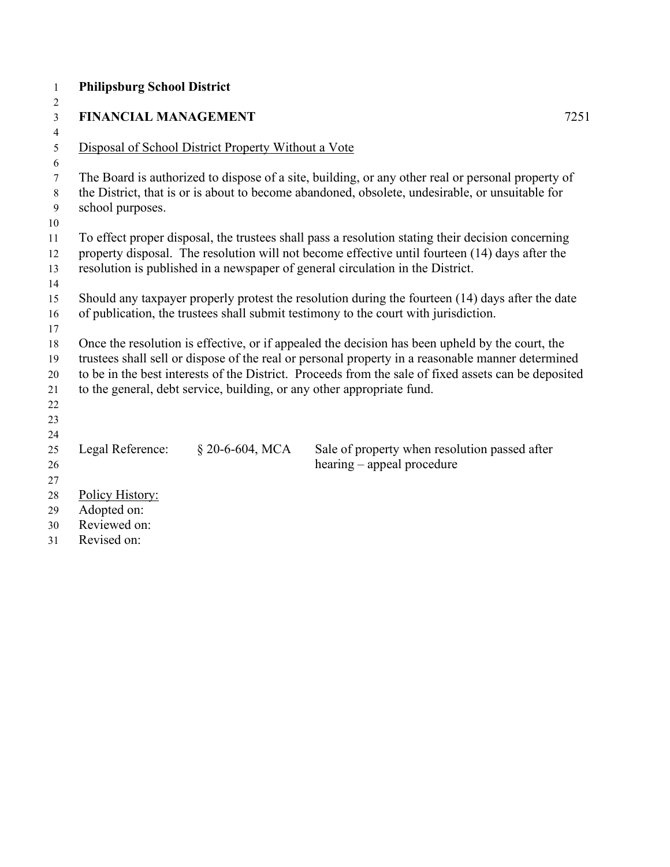| $\mathbf{1}$   | <b>Philipsburg School District</b> |                                                     |                                                                                                      |      |
|----------------|------------------------------------|-----------------------------------------------------|------------------------------------------------------------------------------------------------------|------|
| $\overline{2}$ |                                    |                                                     |                                                                                                      |      |
| 3              | <b>FINANCIAL MANAGEMENT</b>        |                                                     |                                                                                                      | 7251 |
| $\overline{4}$ |                                    |                                                     |                                                                                                      |      |
| 5              |                                    | Disposal of School District Property Without a Vote |                                                                                                      |      |
| 6              |                                    |                                                     |                                                                                                      |      |
| 7              |                                    |                                                     | The Board is authorized to dispose of a site, building, or any other real or personal property of    |      |
| 8              |                                    |                                                     | the District, that is or is about to become abandoned, obsolete, undesirable, or unsuitable for      |      |
| 9<br>10        | school purposes.                   |                                                     |                                                                                                      |      |
| 11             |                                    |                                                     | To effect proper disposal, the trustees shall pass a resolution stating their decision concerning    |      |
| 12             |                                    |                                                     | property disposal. The resolution will not become effective until fourteen (14) days after the       |      |
| 13             |                                    |                                                     | resolution is published in a newspaper of general circulation in the District.                       |      |
| 14             |                                    |                                                     |                                                                                                      |      |
| 15             |                                    |                                                     | Should any taxpayer properly protest the resolution during the fourteen (14) days after the date     |      |
| 16             |                                    |                                                     | of publication, the trustees shall submit testimony to the court with jurisdiction.                  |      |
| 17             |                                    |                                                     |                                                                                                      |      |
| 18             |                                    |                                                     | Once the resolution is effective, or if appealed the decision has been upheld by the court, the      |      |
| 19             |                                    |                                                     | trustees shall sell or dispose of the real or personal property in a reasonable manner determined    |      |
| 20             |                                    |                                                     | to be in the best interests of the District. Proceeds from the sale of fixed assets can be deposited |      |
| 21             |                                    |                                                     | to the general, debt service, building, or any other appropriate fund.                               |      |
| 22             |                                    |                                                     |                                                                                                      |      |
| 23             |                                    |                                                     |                                                                                                      |      |
| 24             |                                    |                                                     |                                                                                                      |      |
| 25             | Legal Reference:                   | § 20-6-604, MCA                                     | Sale of property when resolution passed after                                                        |      |
| 26             |                                    |                                                     | hearing – appeal procedure                                                                           |      |
| 27<br>28       | Policy History:                    |                                                     |                                                                                                      |      |
| 29             | Adopted on:                        |                                                     |                                                                                                      |      |
| 30             | Reviewed on:                       |                                                     |                                                                                                      |      |
|                |                                    |                                                     |                                                                                                      |      |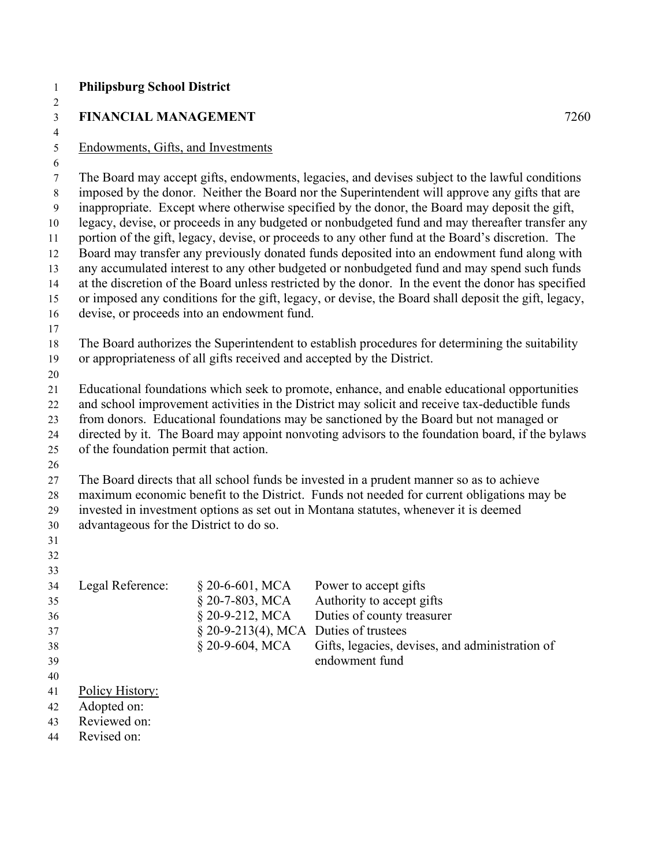| $\mathbf{1}$        | <b>Philipsburg School District</b>                                                                                                                                                        |                                             |                                                                                                                                                                                                    |      |  |
|---------------------|-------------------------------------------------------------------------------------------------------------------------------------------------------------------------------------------|---------------------------------------------|----------------------------------------------------------------------------------------------------------------------------------------------------------------------------------------------------|------|--|
| 2                   |                                                                                                                                                                                           |                                             |                                                                                                                                                                                                    |      |  |
| $\mathfrak{Z}$      | <b>FINANCIAL MANAGEMENT</b>                                                                                                                                                               |                                             |                                                                                                                                                                                                    | 7260 |  |
| $\overline{4}$<br>5 | Endowments, Gifts, and Investments                                                                                                                                                        |                                             |                                                                                                                                                                                                    |      |  |
| 6                   |                                                                                                                                                                                           |                                             |                                                                                                                                                                                                    |      |  |
| 7                   |                                                                                                                                                                                           |                                             | The Board may accept gifts, endowments, legacies, and devises subject to the lawful conditions                                                                                                     |      |  |
| $8\,$               |                                                                                                                                                                                           |                                             | imposed by the donor. Neither the Board nor the Superintendent will approve any gifts that are                                                                                                     |      |  |
| $\overline{9}$      |                                                                                                                                                                                           |                                             | inappropriate. Except where otherwise specified by the donor, the Board may deposit the gift,                                                                                                      |      |  |
| 10                  | legacy, devise, or proceeds in any budgeted or nonbudgeted fund and may thereafter transfer any                                                                                           |                                             |                                                                                                                                                                                                    |      |  |
| 11                  |                                                                                                                                                                                           |                                             | portion of the gift, legacy, devise, or proceeds to any other fund at the Board's discretion. The                                                                                                  |      |  |
| 12                  |                                                                                                                                                                                           |                                             | Board may transfer any previously donated funds deposited into an endowment fund along with                                                                                                        |      |  |
| 13                  |                                                                                                                                                                                           |                                             | any accumulated interest to any other budgeted or nonbudgeted fund and may spend such funds<br>at the discretion of the Board unless restricted by the donor. In the event the donor has specified |      |  |
| 14<br>15            |                                                                                                                                                                                           |                                             | or imposed any conditions for the gift, legacy, or devise, the Board shall deposit the gift, legacy,                                                                                               |      |  |
| 16                  |                                                                                                                                                                                           | devise, or proceeds into an endowment fund. |                                                                                                                                                                                                    |      |  |
| 17                  |                                                                                                                                                                                           |                                             |                                                                                                                                                                                                    |      |  |
| 18                  |                                                                                                                                                                                           |                                             | The Board authorizes the Superintendent to establish procedures for determining the suitability                                                                                                    |      |  |
| 19                  |                                                                                                                                                                                           |                                             | or appropriateness of all gifts received and accepted by the District.                                                                                                                             |      |  |
| 20                  |                                                                                                                                                                                           |                                             |                                                                                                                                                                                                    |      |  |
| 21                  |                                                                                                                                                                                           |                                             | Educational foundations which seek to promote, enhance, and enable educational opportunities                                                                                                       |      |  |
| 22                  |                                                                                                                                                                                           |                                             | and school improvement activities in the District may solicit and receive tax-deductible funds                                                                                                     |      |  |
| 23                  | from donors. Educational foundations may be sanctioned by the Board but not managed or<br>directed by it. The Board may appoint nonvoting advisors to the foundation board, if the bylaws |                                             |                                                                                                                                                                                                    |      |  |
| 24<br>25            | of the foundation permit that action.                                                                                                                                                     |                                             |                                                                                                                                                                                                    |      |  |
| 26                  |                                                                                                                                                                                           |                                             |                                                                                                                                                                                                    |      |  |
| 27                  |                                                                                                                                                                                           |                                             | The Board directs that all school funds be invested in a prudent manner so as to achieve                                                                                                           |      |  |
| 28                  | maximum economic benefit to the District. Funds not needed for current obligations may be                                                                                                 |                                             |                                                                                                                                                                                                    |      |  |
| 29                  |                                                                                                                                                                                           |                                             | invested in investment options as set out in Montana statutes, whenever it is deemed                                                                                                               |      |  |
| 30                  | advantageous for the District to do so.                                                                                                                                                   |                                             |                                                                                                                                                                                                    |      |  |
| 31                  |                                                                                                                                                                                           |                                             |                                                                                                                                                                                                    |      |  |
| 32                  |                                                                                                                                                                                           |                                             |                                                                                                                                                                                                    |      |  |
| 33                  |                                                                                                                                                                                           |                                             |                                                                                                                                                                                                    |      |  |
| 34                  | Legal Reference:                                                                                                                                                                          | § 20-6-601, MCA                             | Power to accept gifts                                                                                                                                                                              |      |  |
| 35<br>36            |                                                                                                                                                                                           | § 20-7-803, MCA<br>§ 20-9-212, MCA          | Authority to accept gifts<br>Duties of county treasurer                                                                                                                                            |      |  |
| 37                  |                                                                                                                                                                                           | $§$ 20-9-213(4), MCA                        | Duties of trustees                                                                                                                                                                                 |      |  |
| 38                  |                                                                                                                                                                                           | § 20-9-604, MCA                             | Gifts, legacies, devises, and administration of                                                                                                                                                    |      |  |
| 39                  |                                                                                                                                                                                           |                                             | endowment fund                                                                                                                                                                                     |      |  |
| 40                  |                                                                                                                                                                                           |                                             |                                                                                                                                                                                                    |      |  |
| 41                  | Policy History:                                                                                                                                                                           |                                             |                                                                                                                                                                                                    |      |  |
| 42                  | Adopted on:                                                                                                                                                                               |                                             |                                                                                                                                                                                                    |      |  |
| 43                  | Reviewed on:                                                                                                                                                                              |                                             |                                                                                                                                                                                                    |      |  |
| 44                  | Revised on:                                                                                                                                                                               |                                             |                                                                                                                                                                                                    |      |  |
|                     |                                                                                                                                                                                           |                                             |                                                                                                                                                                                                    |      |  |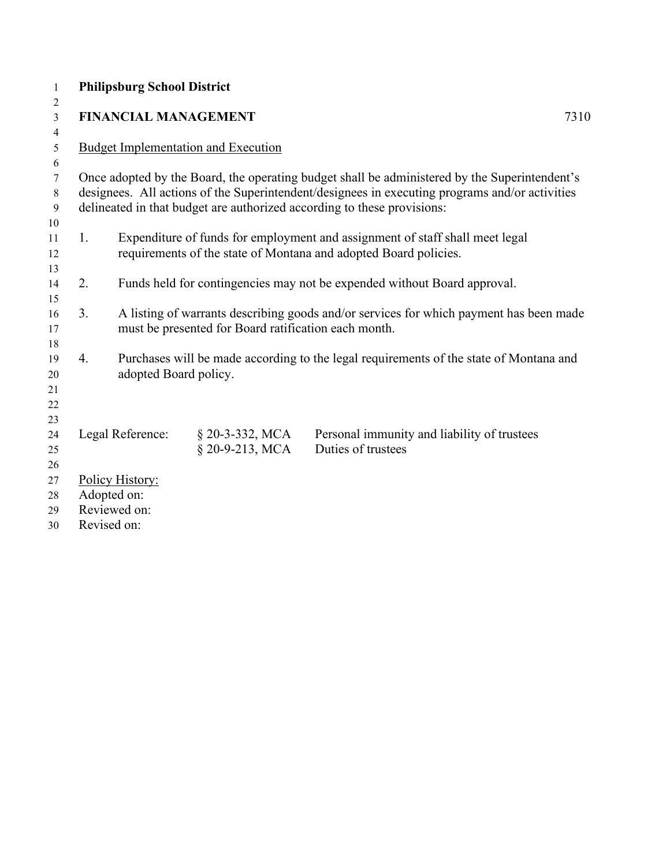| $\mathbf{1}$   |                  | <b>Philipsburg School District</b> |                                                      |                                                                                                                                                                                                 |      |
|----------------|------------------|------------------------------------|------------------------------------------------------|-------------------------------------------------------------------------------------------------------------------------------------------------------------------------------------------------|------|
| 2              |                  |                                    |                                                      |                                                                                                                                                                                                 |      |
| $\overline{3}$ |                  | <b>FINANCIAL MANAGEMENT</b>        |                                                      |                                                                                                                                                                                                 | 7310 |
| 4              |                  |                                    |                                                      |                                                                                                                                                                                                 |      |
| 5              |                  |                                    | <b>Budget Implementation and Execution</b>           |                                                                                                                                                                                                 |      |
| 6              |                  |                                    |                                                      |                                                                                                                                                                                                 |      |
| 7              |                  |                                    |                                                      | Once adopted by the Board, the operating budget shall be administered by the Superintendent's<br>designees. All actions of the Superintendent/designees in executing programs and/or activities |      |
| 8<br>9         |                  |                                    |                                                      | delineated in that budget are authorized according to these provisions:                                                                                                                         |      |
| 10             |                  |                                    |                                                      |                                                                                                                                                                                                 |      |
| 11             | 1.               |                                    |                                                      | Expenditure of funds for employment and assignment of staff shall meet legal                                                                                                                    |      |
| 12             |                  |                                    |                                                      | requirements of the state of Montana and adopted Board policies.                                                                                                                                |      |
| 13             |                  |                                    |                                                      |                                                                                                                                                                                                 |      |
| 14             | 2.               |                                    |                                                      | Funds held for contingencies may not be expended without Board approval.                                                                                                                        |      |
| 15             |                  |                                    |                                                      |                                                                                                                                                                                                 |      |
| 16             | 3.               |                                    |                                                      | A listing of warrants describing goods and/or services for which payment has been made                                                                                                          |      |
| 17             |                  |                                    | must be presented for Board ratification each month. |                                                                                                                                                                                                 |      |
| 18             |                  |                                    |                                                      |                                                                                                                                                                                                 |      |
| 19             | $\overline{4}$ . |                                    |                                                      | Purchases will be made according to the legal requirements of the state of Montana and                                                                                                          |      |
| 20             |                  | adopted Board policy.              |                                                      |                                                                                                                                                                                                 |      |
| 21             |                  |                                    |                                                      |                                                                                                                                                                                                 |      |
| 22             |                  |                                    |                                                      |                                                                                                                                                                                                 |      |
| 23             |                  |                                    |                                                      |                                                                                                                                                                                                 |      |
| 24             |                  | Legal Reference:                   | $$20-3-332, MCA$                                     | Personal immunity and liability of trustees                                                                                                                                                     |      |
| 25             |                  |                                    | § 20-9-213, MCA                                      | Duties of trustees                                                                                                                                                                              |      |
| 26             |                  |                                    |                                                      |                                                                                                                                                                                                 |      |
| 27             |                  | Policy History:                    |                                                      |                                                                                                                                                                                                 |      |
| 28             |                  | Adopted on:                        |                                                      |                                                                                                                                                                                                 |      |
| 29             |                  | Reviewed on:                       |                                                      |                                                                                                                                                                                                 |      |
| 30             |                  | Revised on:                        |                                                      |                                                                                                                                                                                                 |      |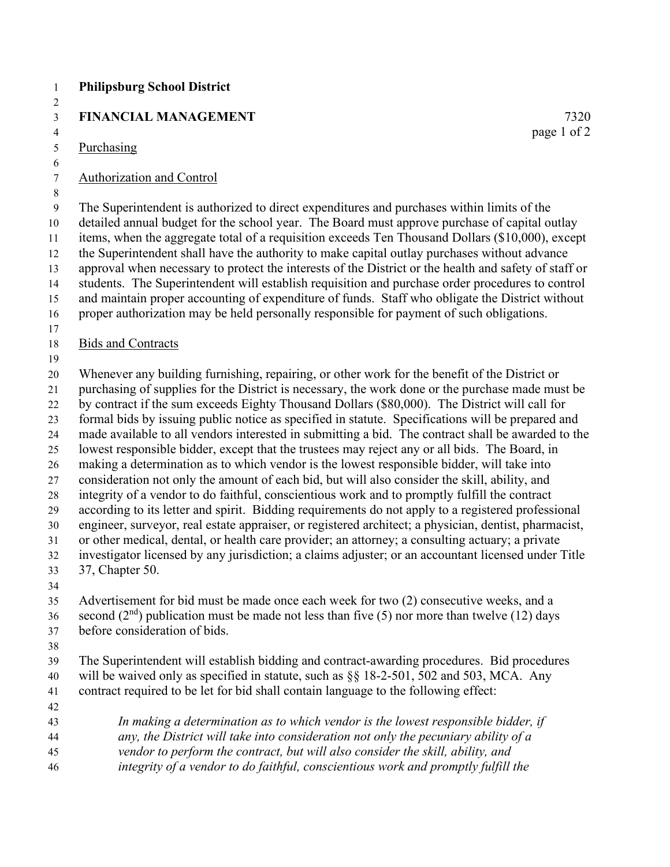| <b>Philipsburg School District</b>                                                                                                                                                                                                                                                                                                                                                                                                                                                                                                                                                                                                                                                                                                                                                                                                                                                                                                                                                                                                                                                                                                                                                                                                                                                                                                                         |                     |
|------------------------------------------------------------------------------------------------------------------------------------------------------------------------------------------------------------------------------------------------------------------------------------------------------------------------------------------------------------------------------------------------------------------------------------------------------------------------------------------------------------------------------------------------------------------------------------------------------------------------------------------------------------------------------------------------------------------------------------------------------------------------------------------------------------------------------------------------------------------------------------------------------------------------------------------------------------------------------------------------------------------------------------------------------------------------------------------------------------------------------------------------------------------------------------------------------------------------------------------------------------------------------------------------------------------------------------------------------------|---------------------|
| <b>FINANCIAL MANAGEMENT</b>                                                                                                                                                                                                                                                                                                                                                                                                                                                                                                                                                                                                                                                                                                                                                                                                                                                                                                                                                                                                                                                                                                                                                                                                                                                                                                                                | 7320<br>page 1 of 2 |
| Purchasing                                                                                                                                                                                                                                                                                                                                                                                                                                                                                                                                                                                                                                                                                                                                                                                                                                                                                                                                                                                                                                                                                                                                                                                                                                                                                                                                                 |                     |
| <b>Authorization and Control</b>                                                                                                                                                                                                                                                                                                                                                                                                                                                                                                                                                                                                                                                                                                                                                                                                                                                                                                                                                                                                                                                                                                                                                                                                                                                                                                                           |                     |
| The Superintendent is authorized to direct expenditures and purchases within limits of the<br>detailed annual budget for the school year. The Board must approve purchase of capital outlay<br>items, when the aggregate total of a requisition exceeds Ten Thousand Dollars (\$10,000), except<br>the Superintendent shall have the authority to make capital outlay purchases without advance<br>approval when necessary to protect the interests of the District or the health and safety of staff or<br>students. The Superintendent will establish requisition and purchase order procedures to control<br>and maintain proper accounting of expenditure of funds. Staff who obligate the District without<br>proper authorization may be held personally responsible for payment of such obligations.                                                                                                                                                                                                                                                                                                                                                                                                                                                                                                                                                |                     |
| <b>Bids and Contracts</b>                                                                                                                                                                                                                                                                                                                                                                                                                                                                                                                                                                                                                                                                                                                                                                                                                                                                                                                                                                                                                                                                                                                                                                                                                                                                                                                                  |                     |
| Whenever any building furnishing, repairing, or other work for the benefit of the District or<br>purchasing of supplies for the District is necessary, the work done or the purchase made must be<br>by contract if the sum exceeds Eighty Thousand Dollars (\$80,000). The District will call for<br>formal bids by issuing public notice as specified in statute. Specifications will be prepared and<br>made available to all vendors interested in submitting a bid. The contract shall be awarded to the<br>lowest responsible bidder, except that the trustees may reject any or all bids. The Board, in<br>making a determination as to which vendor is the lowest responsible bidder, will take into<br>consideration not only the amount of each bid, but will also consider the skill, ability, and<br>integrity of a vendor to do faithful, conscientious work and to promptly fulfill the contract<br>according to its letter and spirit. Bidding requirements do not apply to a registered professional<br>engineer, surveyor, real estate appraiser, or registered architect; a physician, dentist, pharmacist,<br>or other medical, dental, or health care provider; an attorney; a consulting actuary; a private<br>investigator licensed by any jurisdiction; a claims adjuster; or an accountant licensed under Title<br>37, Chapter 50. |                     |
| Advertisement for bid must be made once each week for two (2) consecutive weeks, and a<br>second $(2nd)$ publication must be made not less than five (5) nor more than twelve (12) days<br>before consideration of bids.                                                                                                                                                                                                                                                                                                                                                                                                                                                                                                                                                                                                                                                                                                                                                                                                                                                                                                                                                                                                                                                                                                                                   |                     |
| The Superintendent will establish bidding and contract-awarding procedures. Bid procedures<br>will be waived only as specified in statute, such as §§ 18-2-501, 502 and 503, MCA. Any<br>contract required to be let for bid shall contain language to the following effect:                                                                                                                                                                                                                                                                                                                                                                                                                                                                                                                                                                                                                                                                                                                                                                                                                                                                                                                                                                                                                                                                               |                     |
| In making a determination as to which vendor is the lowest responsible bidder, if<br>any, the District will take into consideration not only the pecuniary ability of a<br>vendor to perform the contract, but will also consider the skill, ability, and<br>integrity of a vendor to do faithful, conscientious work and promptly fulfill the                                                                                                                                                                                                                                                                                                                                                                                                                                                                                                                                                                                                                                                                                                                                                                                                                                                                                                                                                                                                             |                     |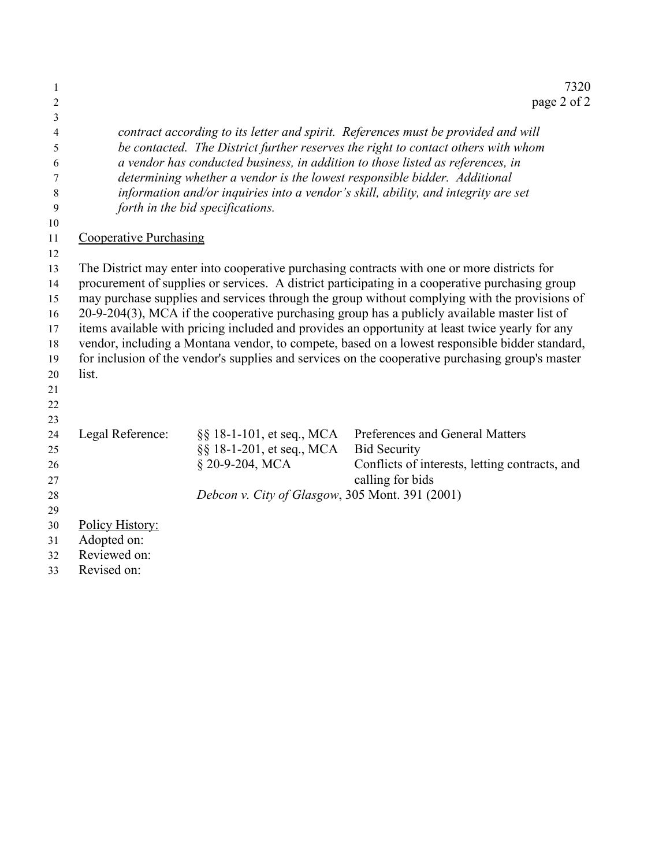| $\mathbf{1}$<br>2 |                               |                                                 | 7320<br>page 2 of 2                                                                                                                                                                            |
|-------------------|-------------------------------|-------------------------------------------------|------------------------------------------------------------------------------------------------------------------------------------------------------------------------------------------------|
| 3                 |                               |                                                 |                                                                                                                                                                                                |
| 4                 |                               |                                                 | contract according to its letter and spirit. References must be provided and will                                                                                                              |
| 5                 |                               |                                                 | be contacted. The District further reserves the right to contact others with whom                                                                                                              |
| 6                 |                               |                                                 | a vendor has conducted business, in addition to those listed as references, in                                                                                                                 |
| 7                 |                               |                                                 | determining whether a vendor is the lowest responsible bidder. Additional                                                                                                                      |
| 8                 |                               |                                                 | information and/or inquiries into a vendor's skill, ability, and integrity are set                                                                                                             |
| 9                 |                               | forth in the bid specifications.                |                                                                                                                                                                                                |
| 10                |                               |                                                 |                                                                                                                                                                                                |
| 11                | <b>Cooperative Purchasing</b> |                                                 |                                                                                                                                                                                                |
| 12                |                               |                                                 |                                                                                                                                                                                                |
| 13<br>14          |                               |                                                 | The District may enter into cooperative purchasing contracts with one or more districts for<br>procurement of supplies or services. A district participating in a cooperative purchasing group |
| 15                |                               |                                                 | may purchase supplies and services through the group without complying with the provisions of                                                                                                  |
| 16                |                               |                                                 | 20-9-204(3), MCA if the cooperative purchasing group has a publicly available master list of                                                                                                   |
| 17                |                               |                                                 | items available with pricing included and provides an opportunity at least twice yearly for any                                                                                                |
| 18                |                               |                                                 | vendor, including a Montana vendor, to compete, based on a lowest responsible bidder standard,                                                                                                 |
| 19                |                               |                                                 | for inclusion of the vendor's supplies and services on the cooperative purchasing group's master                                                                                               |
| 20                | list.                         |                                                 |                                                                                                                                                                                                |
| 21                |                               |                                                 |                                                                                                                                                                                                |
| 22                |                               |                                                 |                                                                                                                                                                                                |
| 23                |                               |                                                 |                                                                                                                                                                                                |
| 24                | Legal Reference:              | §§ 18-1-101, et seq., MCA                       | Preferences and General Matters                                                                                                                                                                |
| 25                |                               | §§ 18-1-201, et seq., MCA                       | <b>Bid Security</b>                                                                                                                                                                            |
| 26                |                               | § 20-9-204, MCA                                 | Conflicts of interests, letting contracts, and                                                                                                                                                 |
| 27                |                               |                                                 | calling for bids                                                                                                                                                                               |
| 28                |                               | Debcon v. City of Glasgow, 305 Mont. 391 (2001) |                                                                                                                                                                                                |
| 29                |                               |                                                 |                                                                                                                                                                                                |
| 30                | Policy History:               |                                                 |                                                                                                                                                                                                |
| 31                | Adopted on:                   |                                                 |                                                                                                                                                                                                |
| 32                | Reviewed on:                  |                                                 |                                                                                                                                                                                                |
| 33                | Revised on:                   |                                                 |                                                                                                                                                                                                |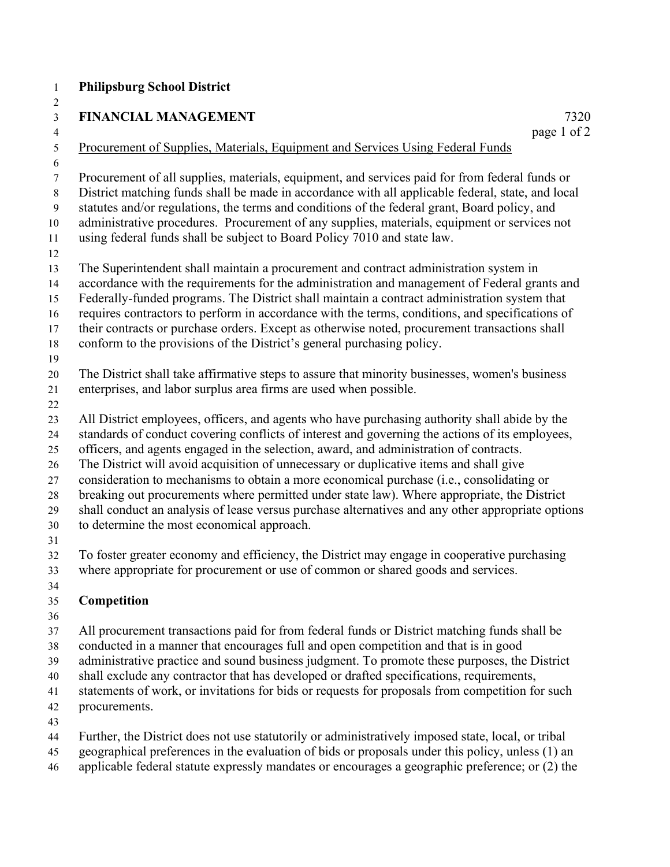#### **Philipsburg School District**

## **FINANCIAL MANAGEMENT** 7320 4 page 1 of 2 5 Procurement of Supplies, Materials, Equipment and Services Using Federal Funds

7 Procurement of all supplies, materials, equipment, and services paid for from federal funds or 8 District matching funds shall be made in accordance with all applicable federal, state, and local 9 statutes and/or regulations, the terms and conditions of the federal grant, Board policy, and administrative procedures. Procurement of any supplies, materials, equipment or services not using federal funds shall be subject to Board Policy 7010 and state law. The Superintendent shall maintain a procurement and contract administration system in accordance with the requirements for the administration and management of Federal grants and Federally-funded programs. The District shall maintain a contract administration system that requires contractors to perform in accordance with the terms, conditions, and specifications of their contracts or purchase orders. Except as otherwise noted, procurement transactions shall

conform to the provisions of the District's general purchasing policy.

The District shall take affirmative steps to assure that minority businesses, women's business

- enterprises, and labor surplus area firms are used when possible.
- 

 All District employees, officers, and agents who have purchasing authority shall abide by the standards of conduct covering conflicts of interest and governing the actions of its employees,

officers, and agents engaged in the selection, award, and administration of contracts.

The District will avoid acquisition of unnecessary or duplicative items and shall give

consideration to mechanisms to obtain a more economical purchase (i.e., consolidating or

breaking out procurements where permitted under state law). Where appropriate, the District

shall conduct an analysis of lease versus purchase alternatives and any other appropriate options

to determine the most economical approach.

To foster greater economy and efficiency, the District may engage in cooperative purchasing

where appropriate for procurement or use of common or shared goods and services.

#### **Competition**

All procurement transactions paid for from federal funds or District matching funds shall be

conducted in a manner that encourages full and open competition and that is in good

administrative practice and sound business judgment. To promote these purposes, the District

shall exclude any contractor that has developed or drafted specifications, requirements,

statements of work, or invitations for bids or requests for proposals from competition for such

procurements.

Further, the District does not use statutorily or administratively imposed state, local, or tribal

- geographical preferences in the evaluation of bids or proposals under this policy, unless (1) an
- applicable federal statute expressly mandates or encourages a geographic preference; or (2) the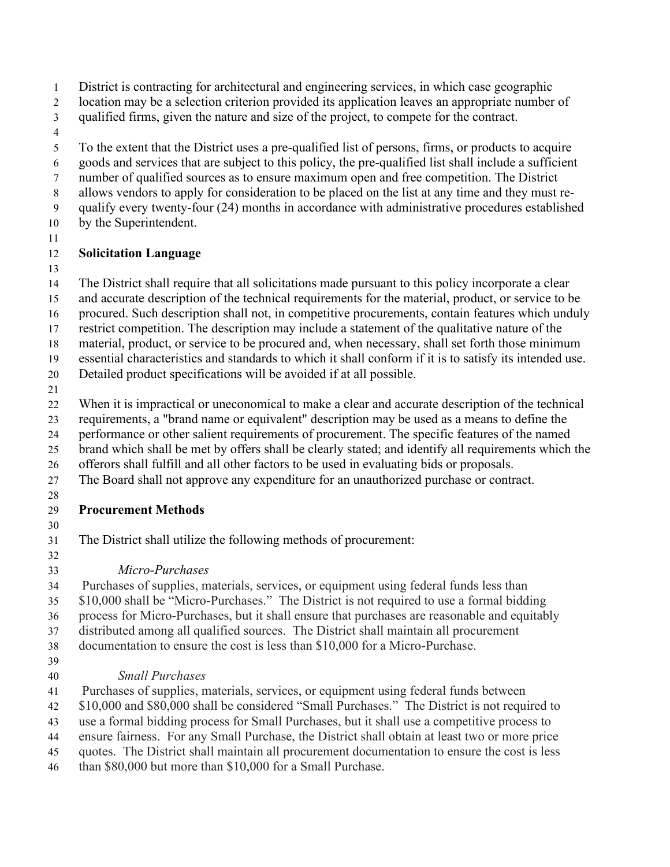- District is contracting for architectural and engineering services, in which case geographic
- location may be a selection criterion provided its application leaves an appropriate number of
- qualified firms, given the nature and size of the project, to compete for the contract.
- 
- To the extent that the District uses a pre-qualified list of persons, firms, or products to acquire
- goods and services that are subject to this policy, the pre-qualified list shall include a sufficient
- number of qualified sources as to ensure maximum open and free competition. The District
- allows vendors to apply for consideration to be placed on the list at any time and they must re-qualify every twenty-four (24) months in accordance with administrative procedures established
- by the Superintendent.
- 

## **Solicitation Language**

The District shall require that all solicitations made pursuant to this policy incorporate a clear

- and accurate description of the technical requirements for the material, product, or service to be
- procured. Such description shall not, in competitive procurements, contain features which unduly
- restrict competition. The description may include a statement of the qualitative nature of the
- material, product, or service to be procured and, when necessary, shall set forth those minimum

essential characteristics and standards to which it shall conform if it is to satisfy its intended use.

- Detailed product specifications will be avoided if at all possible.
- 
- When it is impractical or uneconomical to make a clear and accurate description of the technical
- requirements, a "brand name or equivalent" description may be used as a means to define the
- performance or other salient requirements of procurement. The specific features of the named
- brand which shall be met by offers shall be clearly stated; and identify all requirements which the
- offerors shall fulfill and all other factors to be used in evaluating bids or proposals.
- The Board shall not approve any expenditure for an unauthorized purchase or contract.
- 

## **Procurement Methods**

The District shall utilize the following methods of procurement:

*Micro-Purchases*

Purchases of supplies, materials, services, or equipment using federal funds less than

\$10,000 shall be "Micro-Purchases." The District is not required to use a formal bidding

process for Micro-Purchases, but it shall ensure that purchases are reasonable and equitably

distributed among all qualified sources. The District shall maintain all procurement

documentation to ensure the cost is less than \$10,000 for a Micro-Purchase.

# *Small Purchases*

Purchases of supplies, materials, services, or equipment using federal funds between

\$10,000 and \$80,000 shall be considered "Small Purchases." The District is not required to

use a formal bidding process for Small Purchases, but it shall use a competitive process to

ensure fairness. For any Small Purchase, the District shall obtain at least two or more price

quotes. The District shall maintain all procurement documentation to ensure the cost is less

than \$80,000 but more than \$10,000 for a Small Purchase.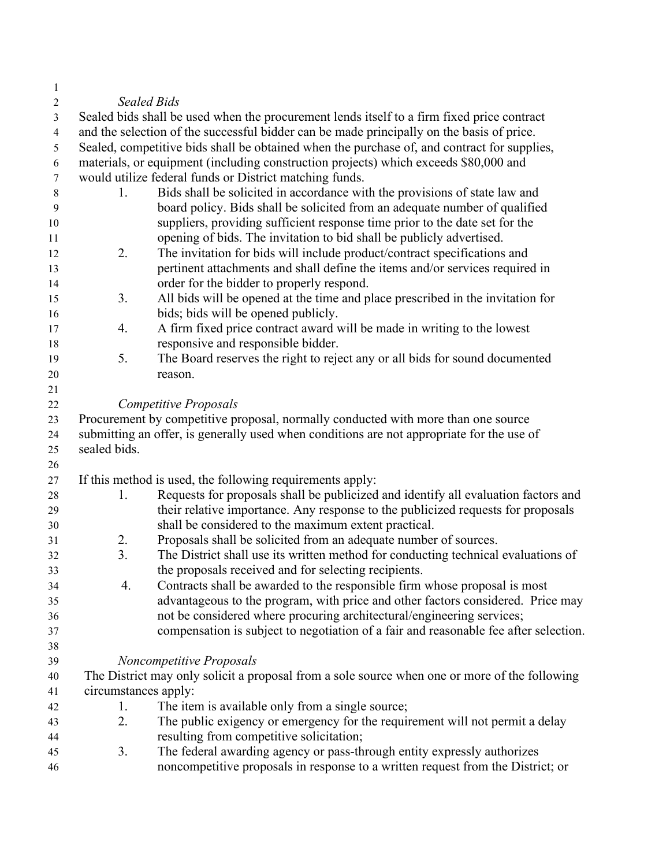| 1              |                      |                                                                                               |
|----------------|----------------------|-----------------------------------------------------------------------------------------------|
| 2              |                      | <b>Sealed Bids</b>                                                                            |
| 3              |                      | Sealed bids shall be used when the procurement lends itself to a firm fixed price contract    |
| $\overline{4}$ |                      | and the selection of the successful bidder can be made principally on the basis of price.     |
| 5              |                      | Sealed, competitive bids shall be obtained when the purchase of, and contract for supplies,   |
| 6              |                      | materials, or equipment (including construction projects) which exceeds \$80,000 and          |
| $\tau$         |                      | would utilize federal funds or District matching funds.                                       |
| $8\,$          | 1.                   | Bids shall be solicited in accordance with the provisions of state law and                    |
| 9              |                      | board policy. Bids shall be solicited from an adequate number of qualified                    |
| 10             |                      | suppliers, providing sufficient response time prior to the date set for the                   |
| 11             |                      | opening of bids. The invitation to bid shall be publicly advertised.                          |
| 12             | 2.                   | The invitation for bids will include product/contract specifications and                      |
| 13             |                      | pertinent attachments and shall define the items and/or services required in                  |
| 14             |                      | order for the bidder to properly respond.                                                     |
| 15             | 3.                   | All bids will be opened at the time and place prescribed in the invitation for                |
| 16             |                      | bids; bids will be opened publicly.                                                           |
| 17             | 4.                   | A firm fixed price contract award will be made in writing to the lowest                       |
| 18             |                      | responsive and responsible bidder.                                                            |
| 19             | 5.                   | The Board reserves the right to reject any or all bids for sound documented                   |
| 20             |                      | reason.                                                                                       |
| 21             |                      |                                                                                               |
| 22             |                      | <b>Competitive Proposals</b>                                                                  |
| 23             |                      | Procurement by competitive proposal, normally conducted with more than one source             |
| 24             |                      | submitting an offer, is generally used when conditions are not appropriate for the use of     |
|                | sealed bids.         |                                                                                               |
| 25             |                      |                                                                                               |
| 26             |                      |                                                                                               |
| 27             | 1.                   | If this method is used, the following requirements apply:                                     |
| 28             |                      | Requests for proposals shall be publicized and identify all evaluation factors and            |
| 29             |                      | their relative importance. Any response to the publicized requests for proposals              |
| 30             |                      | shall be considered to the maximum extent practical.                                          |
| 31             | 2.<br>3.             | Proposals shall be solicited from an adequate number of sources.                              |
| 32             |                      | The District shall use its written method for conducting technical evaluations of             |
| 33             |                      | the proposals received and for selecting recipients.                                          |
| 34             | 4.                   | Contracts shall be awarded to the responsible firm whose proposal is most                     |
| 35             |                      | advantageous to the program, with price and other factors considered. Price may               |
| 36             |                      | not be considered where procuring architectural/engineering services;                         |
| 37             |                      | compensation is subject to negotiation of a fair and reasonable fee after selection.          |
| 38             |                      |                                                                                               |
| 39             |                      | Noncompetitive Proposals                                                                      |
| 40             |                      | The District may only solicit a proposal from a sole source when one or more of the following |
| 41             | circumstances apply: |                                                                                               |
| 42             | 1.                   | The item is available only from a single source;                                              |
| 43             | 2.                   | The public exigency or emergency for the requirement will not permit a delay                  |
| 44             |                      | resulting from competitive solicitation;                                                      |
| 45             | 3.                   | The federal awarding agency or pass-through entity expressly authorizes                       |
| 46             |                      | noncompetitive proposals in response to a written request from the District; or               |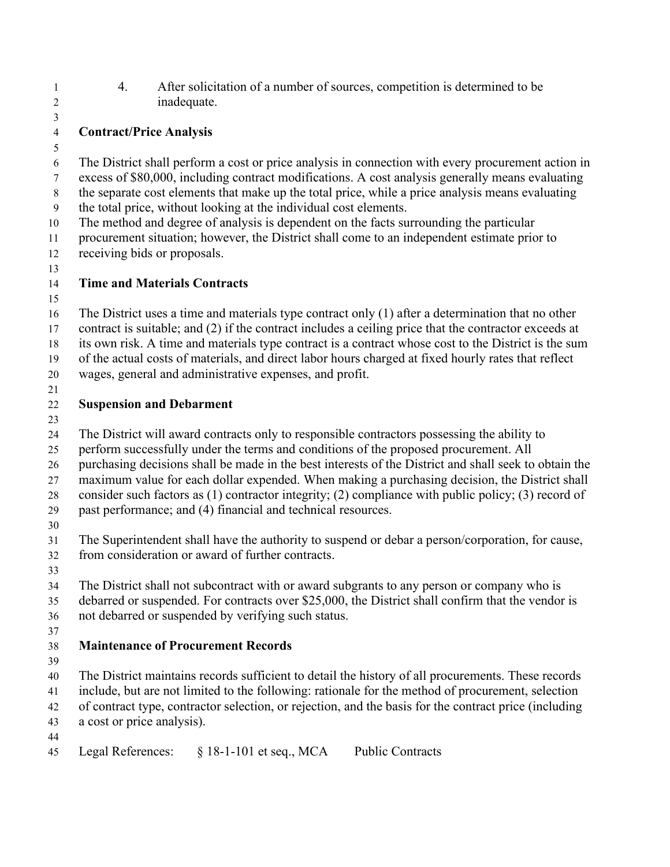- 4. After solicitation of a number of sources, competition is determined to be inadequate.
- **Contract/Price Analysis**
- 

- The District shall perform a cost or price analysis in connection with every procurement action in excess of \$80,000, including contract modifications. A cost analysis generally means evaluating
- the separate cost elements that make up the total price, while a price analysis means evaluating
- the total price, without looking at the individual cost elements.
- The method and degree of analysis is dependent on the facts surrounding the particular
- procurement situation; however, the District shall come to an independent estimate prior to receiving bids or proposals.
- 

## **Time and Materials Contracts**

 The District uses a time and materials type contract only (1) after a determination that no other 17 contract is suitable; and (2) if the contract includes a ceiling price that the contractor exceeds at

its own risk. A time and materials type contract is a contract whose cost to the District is the sum

of the actual costs of materials, and direct labor hours charged at fixed hourly rates that reflect

- wages, general and administrative expenses, and profit.
- 

## **Suspension and Debarment**

The District will award contracts only to responsible contractors possessing the ability to

perform successfully under the terms and conditions of the proposed procurement. All

purchasing decisions shall be made in the best interests of the District and shall seek to obtain the

maximum value for each dollar expended. When making a purchasing decision, the District shall

consider such factors as (1) contractor integrity; (2) compliance with public policy; (3) record of

- past performance; and (4) financial and technical resources.
- 

 The Superintendent shall have the authority to suspend or debar a person/corporation, for cause, from consideration or award of further contracts.

The District shall not subcontract with or award subgrants to any person or company who is

 debarred or suspended. For contracts over \$25,000, the District shall confirm that the vendor is not debarred or suspended by verifying such status.

# **Maintenance of Procurement Records**

 The District maintains records sufficient to detail the history of all procurements. These records include, but are not limited to the following: rationale for the method of procurement, selection of contract type, contractor selection, or rejection, and the basis for the contract price (including a cost or price analysis).

Legal References: § 18-1-101 et seq., MCA Public Contracts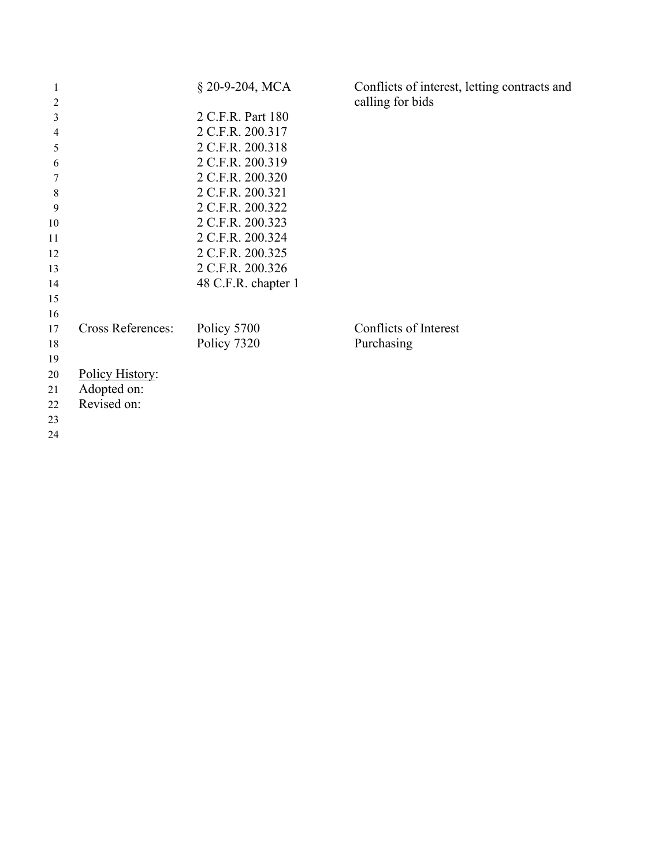| 1              |                          | § 20-9-204, MCA     | Conflicts of interest, letting contracts and |
|----------------|--------------------------|---------------------|----------------------------------------------|
| $\overline{2}$ |                          |                     | calling for bids                             |
| 3              |                          | 2 C.F.R. Part 180   |                                              |
| 4              |                          | 2 C.F.R. 200.317    |                                              |
| 5              |                          | 2 C.F.R. 200.318    |                                              |
| 6              |                          | 2 C.F.R. 200.319    |                                              |
| 7              |                          | 2 C.F.R. 200.320    |                                              |
| $8\phantom{1}$ |                          | 2 C.F.R. 200.321    |                                              |
| 9              |                          | 2 C.F.R. 200.322    |                                              |
| 10             |                          | 2 C.F.R. 200.323    |                                              |
| 11             |                          | 2 C.F.R. 200.324    |                                              |
| 12             |                          | 2 C.F.R. 200.325    |                                              |
| 13             |                          | 2 C.F.R. 200.326    |                                              |
| 14             |                          | 48 C.F.R. chapter 1 |                                              |
| 15             |                          |                     |                                              |
| 16             |                          |                     |                                              |
| 17             | <b>Cross References:</b> | Policy 5700         | Conflicts of Interest                        |
| 18             |                          | Policy 7320         | Purchasing                                   |
| 19             |                          |                     |                                              |
| 20             | Policy History:          |                     |                                              |
| 21             | Adopted on:              |                     |                                              |
| 22             | Revised on:              |                     |                                              |
| 23             |                          |                     |                                              |
| 24             |                          |                     |                                              |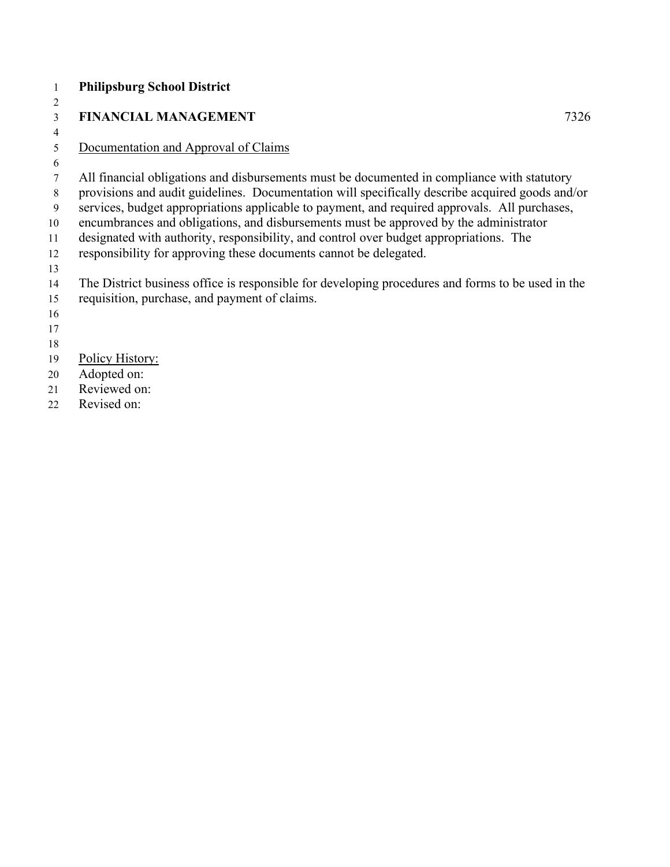|    | <b>Philipsburg School District</b>                                                                |
|----|---------------------------------------------------------------------------------------------------|
| 2  |                                                                                                   |
| 3  | <b>FINANCIAL MANAGEMENT</b><br>7326                                                               |
| 4  |                                                                                                   |
| 5  | Documentation and Approval of Claims                                                              |
| 6  |                                                                                                   |
| 7  | All financial obligations and disbursements must be documented in compliance with statutory       |
| 8  | provisions and audit guidelines. Documentation will specifically describe acquired goods and/or   |
| 9  | services, budget appropriations applicable to payment, and required approvals. All purchases,     |
| 10 | encumbrances and obligations, and disbursements must be approved by the administrator             |
| 11 | designated with authority, responsibility, and control over budget appropriations. The            |
| 12 | responsibility for approving these documents cannot be delegated.                                 |
| 13 |                                                                                                   |
| 14 | The District business office is responsible for developing procedures and forms to be used in the |
| 15 | requisition, purchase, and payment of claims.                                                     |
| 16 |                                                                                                   |
| 17 |                                                                                                   |
| 18 |                                                                                                   |
| 19 | Policy History:                                                                                   |
| 20 | Adopted on:                                                                                       |
| 21 | Reviewed on:                                                                                      |
| 22 | Revised on:                                                                                       |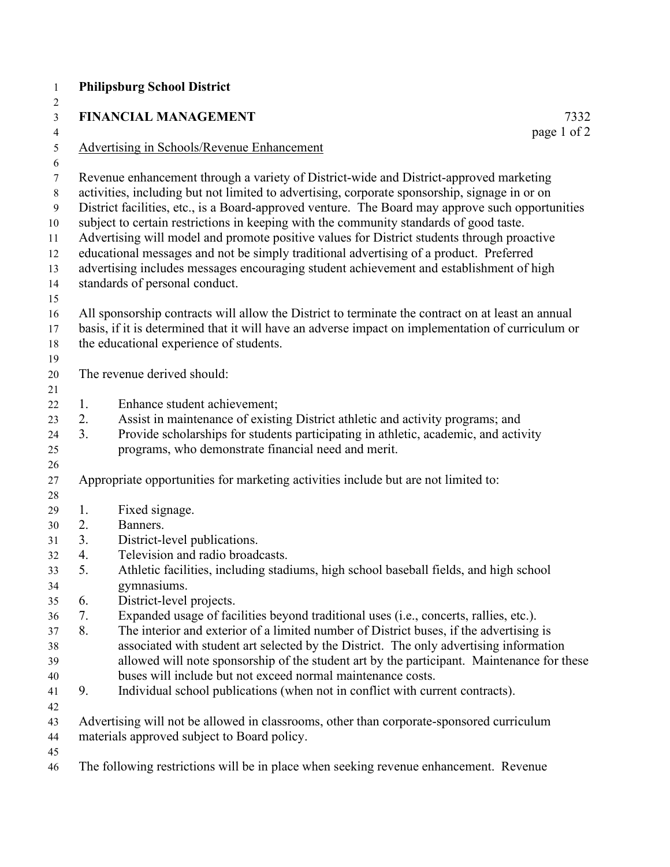|          | <b>FINANCIAL MANAGEMENT</b><br>7332                                                                                                                                                                                                                                                                                                                                                                                                                                                                                                                                                                                                                                                                        |
|----------|------------------------------------------------------------------------------------------------------------------------------------------------------------------------------------------------------------------------------------------------------------------------------------------------------------------------------------------------------------------------------------------------------------------------------------------------------------------------------------------------------------------------------------------------------------------------------------------------------------------------------------------------------------------------------------------------------------|
|          | page 1 of 2<br><b>Advertising in Schools/Revenue Enhancement</b>                                                                                                                                                                                                                                                                                                                                                                                                                                                                                                                                                                                                                                           |
|          |                                                                                                                                                                                                                                                                                                                                                                                                                                                                                                                                                                                                                                                                                                            |
|          | Revenue enhancement through a variety of District-wide and District-approved marketing<br>activities, including but not limited to advertising, corporate sponsorship, signage in or on<br>District facilities, etc., is a Board-approved venture. The Board may approve such opportunities<br>subject to certain restrictions in keeping with the community standards of good taste.<br>Advertising will model and promote positive values for District students through proactive<br>educational messages and not be simply traditional advertising of a product. Preferred<br>advertising includes messages encouraging student achievement and establishment of high<br>standards of personal conduct. |
|          | All sponsorship contracts will allow the District to terminate the contract on at least an annual                                                                                                                                                                                                                                                                                                                                                                                                                                                                                                                                                                                                          |
|          | basis, if it is determined that it will have an adverse impact on implementation of curriculum or<br>the educational experience of students.                                                                                                                                                                                                                                                                                                                                                                                                                                                                                                                                                               |
|          |                                                                                                                                                                                                                                                                                                                                                                                                                                                                                                                                                                                                                                                                                                            |
|          | The revenue derived should:                                                                                                                                                                                                                                                                                                                                                                                                                                                                                                                                                                                                                                                                                |
|          |                                                                                                                                                                                                                                                                                                                                                                                                                                                                                                                                                                                                                                                                                                            |
| 1.       | Enhance student achievement;                                                                                                                                                                                                                                                                                                                                                                                                                                                                                                                                                                                                                                                                               |
| 2.       | Assist in maintenance of existing District athletic and activity programs; and                                                                                                                                                                                                                                                                                                                                                                                                                                                                                                                                                                                                                             |
| 3.       | Provide scholarships for students participating in athletic, academic, and activity                                                                                                                                                                                                                                                                                                                                                                                                                                                                                                                                                                                                                        |
|          | programs, who demonstrate financial need and merit.                                                                                                                                                                                                                                                                                                                                                                                                                                                                                                                                                                                                                                                        |
|          | Appropriate opportunities for marketing activities include but are not limited to:                                                                                                                                                                                                                                                                                                                                                                                                                                                                                                                                                                                                                         |
|          |                                                                                                                                                                                                                                                                                                                                                                                                                                                                                                                                                                                                                                                                                                            |
| 1.<br>2. | Fixed signage.<br>Banners.                                                                                                                                                                                                                                                                                                                                                                                                                                                                                                                                                                                                                                                                                 |
| 3.       | District-level publications.                                                                                                                                                                                                                                                                                                                                                                                                                                                                                                                                                                                                                                                                               |
| 4.       | Television and radio broadcasts.                                                                                                                                                                                                                                                                                                                                                                                                                                                                                                                                                                                                                                                                           |
| 5.       | Athletic facilities, including stadiums, high school baseball fields, and high school                                                                                                                                                                                                                                                                                                                                                                                                                                                                                                                                                                                                                      |
|          | gymnasiums.                                                                                                                                                                                                                                                                                                                                                                                                                                                                                                                                                                                                                                                                                                |
| 6.       | District-level projects.                                                                                                                                                                                                                                                                                                                                                                                                                                                                                                                                                                                                                                                                                   |
| 7.       | Expanded usage of facilities beyond traditional uses (i.e., concerts, rallies, etc.).                                                                                                                                                                                                                                                                                                                                                                                                                                                                                                                                                                                                                      |
| 8.       | The interior and exterior of a limited number of District buses, if the advertising is                                                                                                                                                                                                                                                                                                                                                                                                                                                                                                                                                                                                                     |
|          | associated with student art selected by the District. The only advertising information                                                                                                                                                                                                                                                                                                                                                                                                                                                                                                                                                                                                                     |
|          | allowed will note sponsorship of the student art by the participant. Maintenance for these                                                                                                                                                                                                                                                                                                                                                                                                                                                                                                                                                                                                                 |
|          | buses will include but not exceed normal maintenance costs.                                                                                                                                                                                                                                                                                                                                                                                                                                                                                                                                                                                                                                                |
| 9.       | Individual school publications (when not in conflict with current contracts).                                                                                                                                                                                                                                                                                                                                                                                                                                                                                                                                                                                                                              |
|          | Advertising will not be allowed in classrooms, other than corporate-sponsored curriculum<br>materials approved subject to Board policy.                                                                                                                                                                                                                                                                                                                                                                                                                                                                                                                                                                    |
|          |                                                                                                                                                                                                                                                                                                                                                                                                                                                                                                                                                                                                                                                                                                            |
|          | The following restrictions will be in place when seeking revenue enhancement. Revenue                                                                                                                                                                                                                                                                                                                                                                                                                                                                                                                                                                                                                      |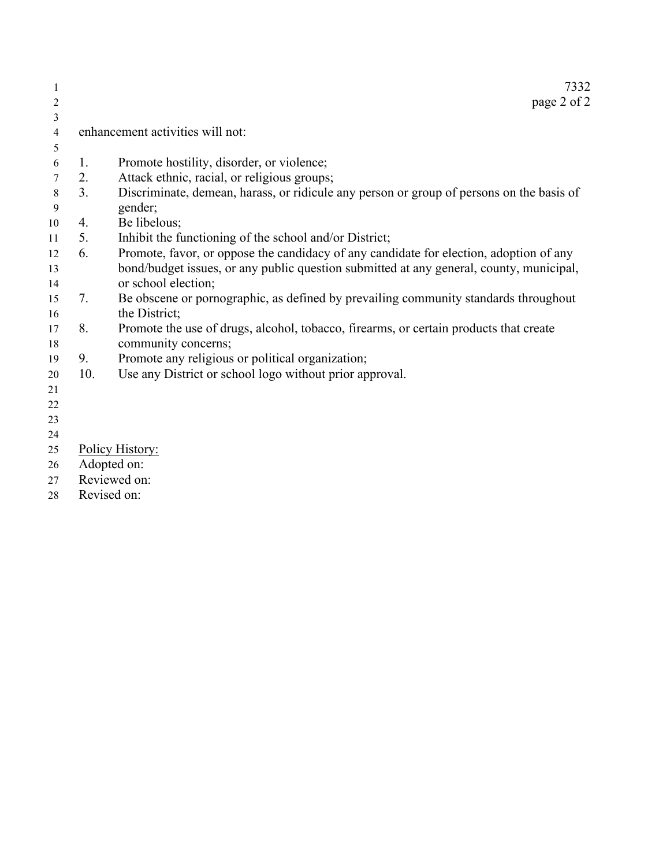|                  |     | 7332                                                                                     |
|------------------|-----|------------------------------------------------------------------------------------------|
| 2                |     | page 2 of 2                                                                              |
| 3                |     |                                                                                          |
| $\overline{4}$   |     | enhancement activities will not:                                                         |
| 5                |     |                                                                                          |
| 6                | 1.  | Promote hostility, disorder, or violence;                                                |
| 7                | 2.  | Attack ethnic, racial, or religious groups;                                              |
| $\,8\,$          | 3.  | Discriminate, demean, harass, or ridicule any person or group of persons on the basis of |
| $\boldsymbol{9}$ |     | gender;                                                                                  |
| 10               | 4.  | Be libelous;                                                                             |
| 11               | 5.  | Inhibit the functioning of the school and/or District;                                   |
| 12               | 6.  | Promote, favor, or oppose the candidacy of any candidate for election, adoption of any   |
| 13               |     | bond/budget issues, or any public question submitted at any general, county, municipal,  |
| 14               |     | or school election;                                                                      |
| 15               | 7.  | Be obscene or pornographic, as defined by prevailing community standards throughout      |
| 16               |     | the District;                                                                            |
| 17               | 8.  | Promote the use of drugs, alcohol, tobacco, firearms, or certain products that create    |
| 18               |     | community concerns;                                                                      |
| 19               | 9.  | Promote any religious or political organization;                                         |
| 20               | 10. | Use any District or school logo without prior approval.                                  |
| 21               |     |                                                                                          |
| 22               |     |                                                                                          |
| 23               |     |                                                                                          |
| 24               |     |                                                                                          |
| 25               |     | Policy History:                                                                          |
| 26               |     | Adopted on:                                                                              |
| 27               |     | Reviewed on:                                                                             |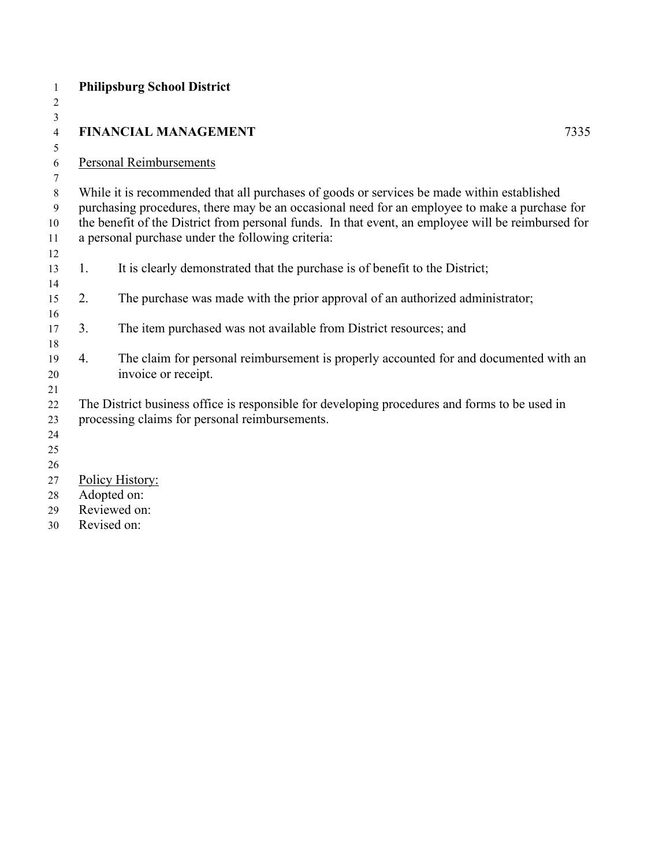| $\mathbf{1}$   |    | <b>Philipsburg School District</b>                                                                 |
|----------------|----|----------------------------------------------------------------------------------------------------|
| $\overline{c}$ |    |                                                                                                    |
| 3              |    |                                                                                                    |
| $\overline{4}$ |    | <b>FINANCIAL MANAGEMENT</b><br>7335                                                                |
| 5<br>6         |    | <b>Personal Reimbursements</b>                                                                     |
| 7              |    |                                                                                                    |
| $\,$ $\,$      |    | While it is recommended that all purchases of goods or services be made within established         |
| 9              |    | purchasing procedures, there may be an occasional need for an employee to make a purchase for      |
| 10             |    | the benefit of the District from personal funds. In that event, an employee will be reimbursed for |
| 11             |    | a personal purchase under the following criteria:                                                  |
| 12             |    |                                                                                                    |
| 13             | 1. | It is clearly demonstrated that the purchase is of benefit to the District;                        |
| 14             |    |                                                                                                    |
| 15             | 2. | The purchase was made with the prior approval of an authorized administrator;                      |
| 16<br>17       | 3. | The item purchased was not available from District resources; and                                  |
| 18             |    |                                                                                                    |
| 19             | 4. | The claim for personal reimbursement is properly accounted for and documented with an              |
| 20             |    | invoice or receipt.                                                                                |
| 21             |    |                                                                                                    |
| 22             |    | The District business office is responsible for developing procedures and forms to be used in      |
| 23             |    | processing claims for personal reimbursements.                                                     |
| 24             |    |                                                                                                    |
| 25             |    |                                                                                                    |
| 26             |    |                                                                                                    |
| 27             |    | Policy History:<br>Adopted on:                                                                     |
| 28<br>29       |    | Reviewed on:                                                                                       |
|                |    |                                                                                                    |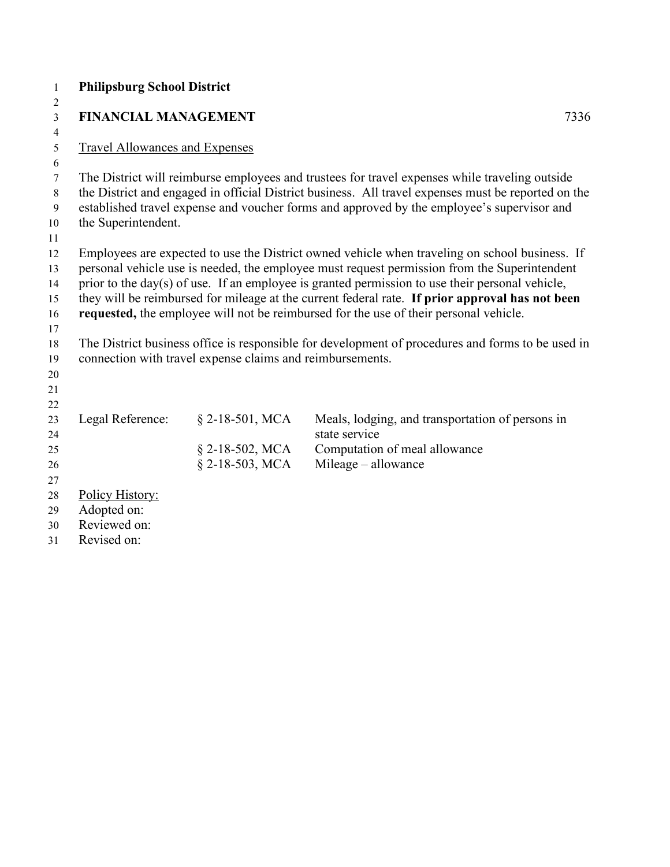| $\mathbf{1}$   | <b>Philipsburg School District</b>    |                                                           |                                                                                                     |
|----------------|---------------------------------------|-----------------------------------------------------------|-----------------------------------------------------------------------------------------------------|
| 2              |                                       |                                                           |                                                                                                     |
| 3              | <b>FINANCIAL MANAGEMENT</b>           |                                                           | 7336                                                                                                |
| $\overline{4}$ |                                       |                                                           |                                                                                                     |
| 5              | <b>Travel Allowances and Expenses</b> |                                                           |                                                                                                     |
| 6              |                                       |                                                           |                                                                                                     |
| $\tau$         |                                       |                                                           | The District will reimburse employees and trustees for travel expenses while traveling outside      |
| 8              |                                       |                                                           | the District and engaged in official District business. All travel expenses must be reported on the |
| 9              |                                       |                                                           | established travel expense and voucher forms and approved by the employee's supervisor and          |
| 10<br>11       | the Superintendent.                   |                                                           |                                                                                                     |
| 12             |                                       |                                                           | Employees are expected to use the District owned vehicle when traveling on school business. If      |
| 13             |                                       |                                                           | personal vehicle use is needed, the employee must request permission from the Superintendent        |
| 14             |                                       |                                                           | prior to the day(s) of use. If an employee is granted permission to use their personal vehicle,     |
| 15             |                                       |                                                           | they will be reimbursed for mileage at the current federal rate. If prior approval has not been     |
| 16             |                                       |                                                           | requested, the employee will not be reimbursed for the use of their personal vehicle.               |
| 17             |                                       |                                                           |                                                                                                     |
| 18             |                                       |                                                           | The District business office is responsible for development of procedures and forms to be used in   |
| 19             |                                       | connection with travel expense claims and reimbursements. |                                                                                                     |
| 20             |                                       |                                                           |                                                                                                     |
| 21             |                                       |                                                           |                                                                                                     |
| 22             |                                       |                                                           |                                                                                                     |
| 23             | Legal Reference:                      | $§$ 2-18-501, MCA                                         | Meals, lodging, and transportation of persons in                                                    |
| 24             |                                       |                                                           | state service                                                                                       |
| 25             |                                       | $\S$ 2-18-502, MCA                                        | Computation of meal allowance                                                                       |
| 26             |                                       | $\S$ 2-18-503, MCA                                        | Mileage - allowance                                                                                 |
| 27             |                                       |                                                           |                                                                                                     |
| 28             | Policy History:                       |                                                           |                                                                                                     |
| 29             | Adopted on:                           |                                                           |                                                                                                     |
| 30             | Reviewed on:                          |                                                           |                                                                                                     |
| 31             | Revised on:                           |                                                           |                                                                                                     |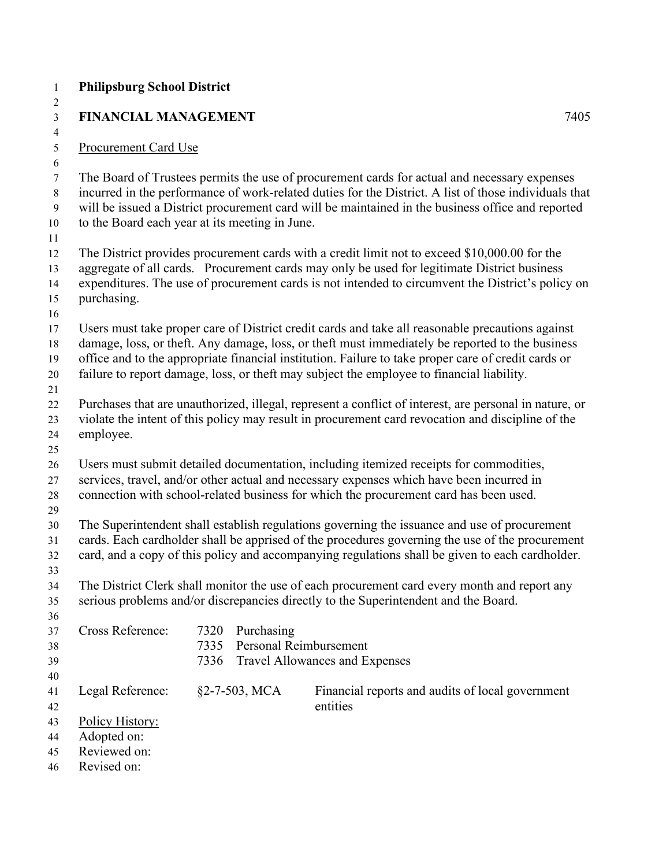| $\mathbf{1}$                      | <b>Philipsburg School District</b>                                                                                                                                                                                                                                                                                                                                                                      |                      |               |                                                                                                                                                                                                                                                                                                            |      |  |
|-----------------------------------|---------------------------------------------------------------------------------------------------------------------------------------------------------------------------------------------------------------------------------------------------------------------------------------------------------------------------------------------------------------------------------------------------------|----------------------|---------------|------------------------------------------------------------------------------------------------------------------------------------------------------------------------------------------------------------------------------------------------------------------------------------------------------------|------|--|
| 2<br>$\overline{3}$               | <b>FINANCIAL MANAGEMENT</b>                                                                                                                                                                                                                                                                                                                                                                             |                      |               |                                                                                                                                                                                                                                                                                                            | 7405 |  |
| $\overline{4}$<br>$5\,$           | <b>Procurement Card Use</b>                                                                                                                                                                                                                                                                                                                                                                             |                      |               |                                                                                                                                                                                                                                                                                                            |      |  |
| 6<br>$\tau$<br>8<br>9<br>10<br>11 | to the Board each year at its meeting in June.                                                                                                                                                                                                                                                                                                                                                          |                      |               | The Board of Trustees permits the use of procurement cards for actual and necessary expenses<br>incurred in the performance of work-related duties for the District. A list of those individuals that<br>will be issued a District procurement card will be maintained in the business office and reported |      |  |
| 12<br>13<br>14<br>15<br>16        | purchasing.                                                                                                                                                                                                                                                                                                                                                                                             |                      |               | The District provides procurement cards with a credit limit not to exceed \$10,000.00 for the<br>aggregate of all cards. Procurement cards may only be used for legitimate District business<br>expenditures. The use of procurement cards is not intended to circumvent the District's policy on          |      |  |
| 17<br>18<br>19<br>20              | Users must take proper care of District credit cards and take all reasonable precautions against<br>damage, loss, or theft. Any damage, loss, or theft must immediately be reported to the business<br>office and to the appropriate financial institution. Failure to take proper care of credit cards or<br>failure to report damage, loss, or theft may subject the employee to financial liability. |                      |               |                                                                                                                                                                                                                                                                                                            |      |  |
| 21<br>22<br>23<br>24<br>25        | employee.                                                                                                                                                                                                                                                                                                                                                                                               |                      |               | Purchases that are unauthorized, illegal, represent a conflict of interest, are personal in nature, or<br>violate the intent of this policy may result in procurement card revocation and discipline of the                                                                                                |      |  |
| 26<br>27<br>28<br>29              |                                                                                                                                                                                                                                                                                                                                                                                                         |                      |               | Users must submit detailed documentation, including itemized receipts for commodities,<br>services, travel, and/or other actual and necessary expenses which have been incurred in<br>connection with school-related business for which the procurement card has been used.                                |      |  |
| 30<br>31<br>32<br>33              |                                                                                                                                                                                                                                                                                                                                                                                                         |                      |               | The Superintendent shall establish regulations governing the issuance and use of procurement<br>cards. Each cardholder shall be apprised of the procedures governing the use of the procurement<br>card, and a copy of this policy and accompanying regulations shall be given to each cardholder.         |      |  |
| 34<br>35<br>36                    |                                                                                                                                                                                                                                                                                                                                                                                                         |                      |               | The District Clerk shall monitor the use of each procurement card every month and report any<br>serious problems and/or discrepancies directly to the Superintendent and the Board.                                                                                                                        |      |  |
| 37<br>38<br>39<br>40              | Cross Reference:                                                                                                                                                                                                                                                                                                                                                                                        | 7320<br>7335<br>7336 | Purchasing    | Personal Reimbursement<br>Travel Allowances and Expenses                                                                                                                                                                                                                                                   |      |  |
| 41<br>42                          | Legal Reference:                                                                                                                                                                                                                                                                                                                                                                                        |                      | §2-7-503, MCA | Financial reports and audits of local government<br>entities                                                                                                                                                                                                                                               |      |  |
| 43<br>44<br>45<br>46              | Policy History:<br>Adopted on:<br>Reviewed on:<br>Revised on:                                                                                                                                                                                                                                                                                                                                           |                      |               |                                                                                                                                                                                                                                                                                                            |      |  |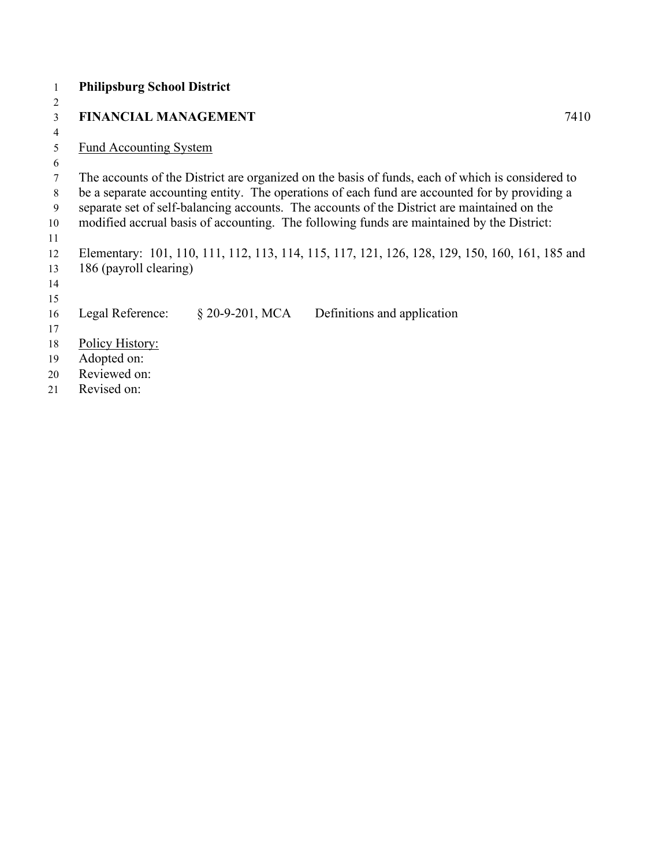|                | <b>Philipsburg School District</b> |                   |                                                                                                  |      |
|----------------|------------------------------------|-------------------|--------------------------------------------------------------------------------------------------|------|
| $\overline{2}$ |                                    |                   |                                                                                                  |      |
| 3              | <b>FINANCIAL MANAGEMENT</b>        |                   |                                                                                                  | 7410 |
| $\overline{4}$ |                                    |                   |                                                                                                  |      |
| 5              | <b>Fund Accounting System</b>      |                   |                                                                                                  |      |
| 6              |                                    |                   |                                                                                                  |      |
| 7              |                                    |                   | The accounts of the District are organized on the basis of funds, each of which is considered to |      |
| 8              |                                    |                   | be a separate accounting entity. The operations of each fund are accounted for by providing a    |      |
| 9              |                                    |                   | separate set of self-balancing accounts. The accounts of the District are maintained on the      |      |
| 10             |                                    |                   | modified accrual basis of accounting. The following funds are maintained by the District:        |      |
| 11             |                                    |                   |                                                                                                  |      |
| 12             |                                    |                   | Elementary: 101, 110, 111, 112, 113, 114, 115, 117, 121, 126, 128, 129, 150, 160, 161, 185 and   |      |
| 13             | 186 (payroll clearing)             |                   |                                                                                                  |      |
| 14             |                                    |                   |                                                                                                  |      |
| 15             |                                    |                   |                                                                                                  |      |
| 16             | Legal Reference:                   | $§$ 20-9-201, MCA | Definitions and application                                                                      |      |
| 17             |                                    |                   |                                                                                                  |      |
| 18             | Policy History:                    |                   |                                                                                                  |      |
| 19             | Adopted on:                        |                   |                                                                                                  |      |
| 20             | Reviewed on:                       |                   |                                                                                                  |      |
|                |                                    |                   |                                                                                                  |      |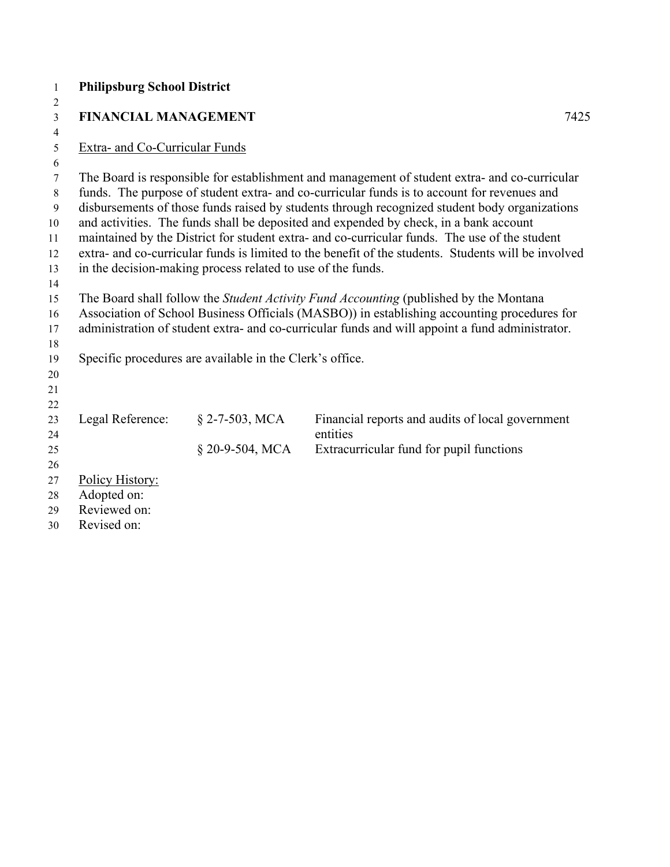| $\mathbf{1}$   | <b>Philipsburg School District</b> |                                                             |                                                                                                                                                                                                      |      |
|----------------|------------------------------------|-------------------------------------------------------------|------------------------------------------------------------------------------------------------------------------------------------------------------------------------------------------------------|------|
| $\overline{2}$ |                                    |                                                             |                                                                                                                                                                                                      |      |
| $\overline{3}$ | <b>FINANCIAL MANAGEMENT</b>        |                                                             |                                                                                                                                                                                                      | 7425 |
| 4              |                                    |                                                             |                                                                                                                                                                                                      |      |
| 5              | Extra- and Co-Curricular Funds     |                                                             |                                                                                                                                                                                                      |      |
| 6              |                                    |                                                             |                                                                                                                                                                                                      |      |
| 7              |                                    |                                                             | The Board is responsible for establishment and management of student extra- and co-curricular                                                                                                        |      |
| 8              |                                    |                                                             | funds. The purpose of student extra- and co-curricular funds is to account for revenues and                                                                                                          |      |
| 9              |                                    |                                                             | disbursements of those funds raised by students through recognized student body organizations                                                                                                        |      |
| 10             |                                    |                                                             | and activities. The funds shall be deposited and expended by check, in a bank account                                                                                                                |      |
| 11<br>12       |                                    |                                                             | maintained by the District for student extra- and co-curricular funds. The use of the student<br>extra- and co-curricular funds is limited to the benefit of the students. Students will be involved |      |
| 13             |                                    | in the decision-making process related to use of the funds. |                                                                                                                                                                                                      |      |
| 14             |                                    |                                                             |                                                                                                                                                                                                      |      |
| 15             |                                    |                                                             | The Board shall follow the Student Activity Fund Accounting (published by the Montana                                                                                                                |      |
| 16             |                                    |                                                             | Association of School Business Officials (MASBO)) in establishing accounting procedures for                                                                                                          |      |
| 17             |                                    |                                                             | administration of student extra- and co-curricular funds and will appoint a fund administrator.                                                                                                      |      |
| 18             |                                    |                                                             |                                                                                                                                                                                                      |      |
| 19             |                                    | Specific procedures are available in the Clerk's office.    |                                                                                                                                                                                                      |      |
| 20             |                                    |                                                             |                                                                                                                                                                                                      |      |
| 21             |                                    |                                                             |                                                                                                                                                                                                      |      |
| 22             |                                    |                                                             |                                                                                                                                                                                                      |      |
| 23             | Legal Reference:                   | $§$ 2-7-503, MCA                                            | Financial reports and audits of local government                                                                                                                                                     |      |
| 24             |                                    |                                                             | entities                                                                                                                                                                                             |      |
| 25             |                                    | § 20-9-504, MCA                                             | Extracurricular fund for pupil functions                                                                                                                                                             |      |
| 26             |                                    |                                                             |                                                                                                                                                                                                      |      |
| 27             | Policy History:                    |                                                             |                                                                                                                                                                                                      |      |
| 28             | Adopted on:                        |                                                             |                                                                                                                                                                                                      |      |
| 29             | Reviewed on:                       |                                                             |                                                                                                                                                                                                      |      |
| 30             | Revised on:                        |                                                             |                                                                                                                                                                                                      |      |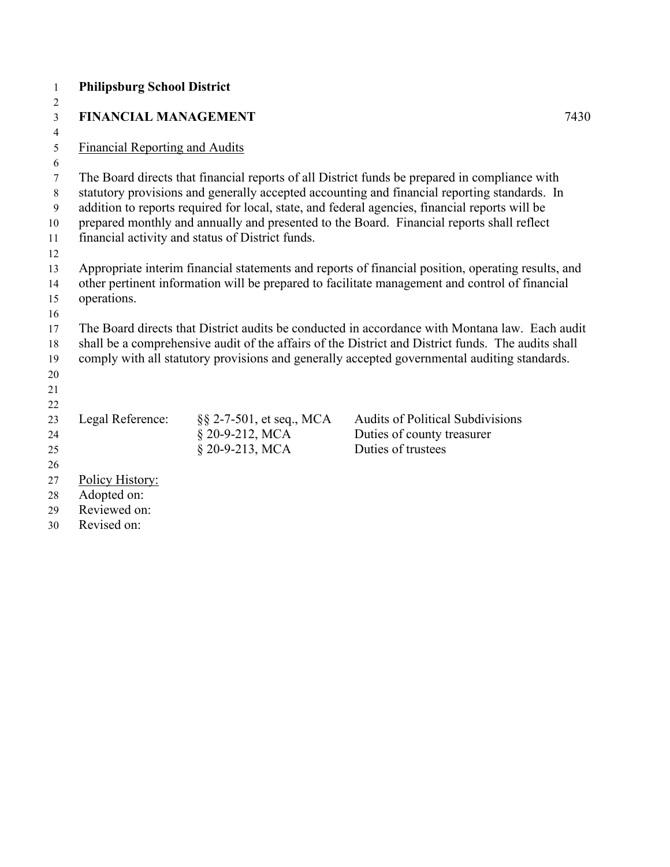| $\mathbf{1}$   | <b>Philipsburg School District</b>    |                                                  |                                                                                                                                                                                               |      |
|----------------|---------------------------------------|--------------------------------------------------|-----------------------------------------------------------------------------------------------------------------------------------------------------------------------------------------------|------|
| $\overline{2}$ |                                       |                                                  |                                                                                                                                                                                               |      |
| $\overline{3}$ | <b>FINANCIAL MANAGEMENT</b>           |                                                  |                                                                                                                                                                                               | 7430 |
| $\overline{4}$ |                                       |                                                  |                                                                                                                                                                                               |      |
| 5              | <b>Financial Reporting and Audits</b> |                                                  |                                                                                                                                                                                               |      |
| 6              |                                       |                                                  |                                                                                                                                                                                               |      |
| 7<br>$\,8\,$   |                                       |                                                  | The Board directs that financial reports of all District funds be prepared in compliance with<br>statutory provisions and generally accepted accounting and financial reporting standards. In |      |
| 9              |                                       |                                                  | addition to reports required for local, state, and federal agencies, financial reports will be                                                                                                |      |
| 10             |                                       |                                                  | prepared monthly and annually and presented to the Board. Financial reports shall reflect                                                                                                     |      |
| 11             |                                       | financial activity and status of District funds. |                                                                                                                                                                                               |      |
| 12             |                                       |                                                  |                                                                                                                                                                                               |      |
| 13             |                                       |                                                  | Appropriate interim financial statements and reports of financial position, operating results, and                                                                                            |      |
| 14             |                                       |                                                  | other pertinent information will be prepared to facilitate management and control of financial                                                                                                |      |
| 15             | operations.                           |                                                  |                                                                                                                                                                                               |      |
| 16             |                                       |                                                  |                                                                                                                                                                                               |      |
| 17             |                                       |                                                  | The Board directs that District audits be conducted in accordance with Montana law. Each audit                                                                                                |      |
| 18             |                                       |                                                  | shall be a comprehensive audit of the affairs of the District and District funds. The audits shall                                                                                            |      |
| 19             |                                       |                                                  | comply with all statutory provisions and generally accepted governmental auditing standards.                                                                                                  |      |
| 20             |                                       |                                                  |                                                                                                                                                                                               |      |
| 21             |                                       |                                                  |                                                                                                                                                                                               |      |
| 22             |                                       |                                                  |                                                                                                                                                                                               |      |
| 23             | Legal Reference:                      | §§ 2-7-501, et seq., MCA                         | <b>Audits of Political Subdivisions</b>                                                                                                                                                       |      |
| 24<br>25       |                                       | § 20-9-212, MCA<br>§ 20-9-213, MCA               | Duties of county treasurer<br>Duties of trustees                                                                                                                                              |      |
| 26             |                                       |                                                  |                                                                                                                                                                                               |      |
| 27             | Policy History:                       |                                                  |                                                                                                                                                                                               |      |
| 28             | Adopted on:                           |                                                  |                                                                                                                                                                                               |      |
| 29             | Reviewed on:                          |                                                  |                                                                                                                                                                                               |      |
| 30             | Revised on:                           |                                                  |                                                                                                                                                                                               |      |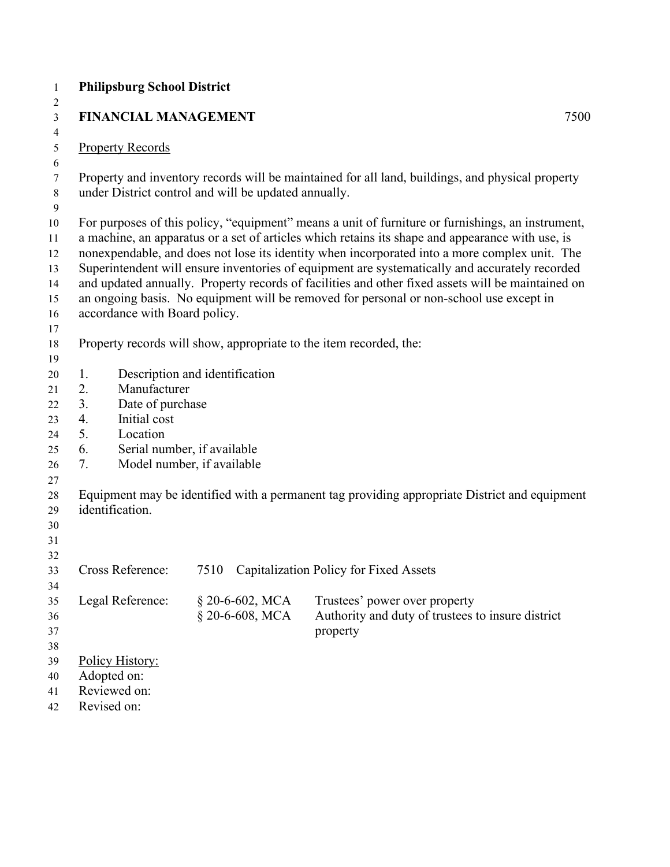| $\mathbf{1}$        |    | <b>Philipsburg School District</b>                   |                 |                                                                                                   |
|---------------------|----|------------------------------------------------------|-----------------|---------------------------------------------------------------------------------------------------|
| 2                   |    |                                                      |                 |                                                                                                   |
| 3                   |    | <b>FINANCIAL MANAGEMENT</b>                          |                 | 7500                                                                                              |
| $\overline{4}$<br>5 |    | <b>Property Records</b>                              |                 |                                                                                                   |
| 6                   |    |                                                      |                 |                                                                                                   |
| 7                   |    |                                                      |                 | Property and inventory records will be maintained for all land, buildings, and physical property  |
| $8\,$               |    | under District control and will be updated annually. |                 |                                                                                                   |
| $\boldsymbol{9}$    |    |                                                      |                 |                                                                                                   |
| 10                  |    |                                                      |                 | For purposes of this policy, "equipment" means a unit of furniture or furnishings, an instrument, |
| 11                  |    |                                                      |                 | a machine, an apparatus or a set of articles which retains its shape and appearance with use, is  |
| 12                  |    |                                                      |                 | nonexpendable, and does not lose its identity when incorporated into a more complex unit. The     |
| 13                  |    |                                                      |                 | Superintendent will ensure inventories of equipment are systematically and accurately recorded    |
| 14                  |    |                                                      |                 | and updated annually. Property records of facilities and other fixed assets will be maintained on |
| 15                  |    |                                                      |                 | an ongoing basis. No equipment will be removed for personal or non-school use except in           |
| 16                  |    | accordance with Board policy.                        |                 |                                                                                                   |
| 17                  |    |                                                      |                 | Property records will show, appropriate to the item recorded, the:                                |
| 18<br>19            |    |                                                      |                 |                                                                                                   |
| 20                  | 1. | Description and identification                       |                 |                                                                                                   |
| 21                  | 2. | Manufacturer                                         |                 |                                                                                                   |
| 22                  | 3. | Date of purchase                                     |                 |                                                                                                   |
| 23                  | 4. | Initial cost                                         |                 |                                                                                                   |
| 24                  | 5. | Location                                             |                 |                                                                                                   |
| 25                  | 6. | Serial number, if available                          |                 |                                                                                                   |
| 26                  | 7. | Model number, if available                           |                 |                                                                                                   |
| 27                  |    |                                                      |                 |                                                                                                   |
| 28                  |    |                                                      |                 | Equipment may be identified with a permanent tag providing appropriate District and equipment     |
| 29                  |    | identification.                                      |                 |                                                                                                   |
| 30                  |    |                                                      |                 |                                                                                                   |
| 31<br>32            |    |                                                      |                 |                                                                                                   |
| 33                  |    | Cross Reference:                                     |                 | 7510 Capitalization Policy for Fixed Assets                                                       |
| 34                  |    |                                                      |                 |                                                                                                   |
| 35                  |    | Legal Reference:                                     | § 20-6-602, MCA | Trustees' power over property                                                                     |
| 36                  |    |                                                      | § 20-6-608, MCA | Authority and duty of trustees to insure district                                                 |
| 37                  |    |                                                      |                 | property                                                                                          |
| 38                  |    |                                                      |                 |                                                                                                   |
| 39                  |    | Policy History:                                      |                 |                                                                                                   |
| 40                  |    | Adopted on:                                          |                 |                                                                                                   |
| 41                  |    | Reviewed on:                                         |                 |                                                                                                   |
| 42                  |    | Revised on:                                          |                 |                                                                                                   |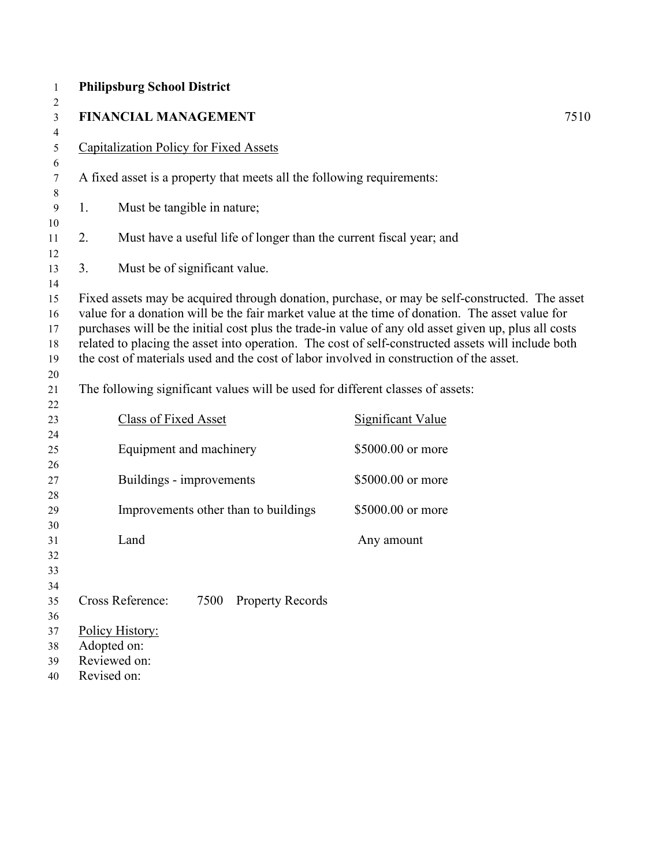| $\mathbf{1}$     | <b>Philipsburg School District</b>                                                      |                                                                                                                                                                                                   |
|------------------|-----------------------------------------------------------------------------------------|---------------------------------------------------------------------------------------------------------------------------------------------------------------------------------------------------|
| 2<br>3           | <b>FINANCIAL MANAGEMENT</b>                                                             | 7510                                                                                                                                                                                              |
| 4<br>5           | <b>Capitalization Policy for Fixed Assets</b>                                           |                                                                                                                                                                                                   |
| 6<br>7           | A fixed asset is a property that meets all the following requirements:                  |                                                                                                                                                                                                   |
| $8\,$            |                                                                                         |                                                                                                                                                                                                   |
| $\boldsymbol{9}$ | 1.<br>Must be tangible in nature;                                                       |                                                                                                                                                                                                   |
| 10               |                                                                                         |                                                                                                                                                                                                   |
| 11               | 2.<br>Must have a useful life of longer than the current fiscal year; and               |                                                                                                                                                                                                   |
| 12<br>13         | Must be of significant value.<br>3.                                                     |                                                                                                                                                                                                   |
| 14               |                                                                                         |                                                                                                                                                                                                   |
| 15               |                                                                                         | Fixed assets may be acquired through donation, purchase, or may be self-constructed. The asset<br>value for a donation will be the fair market value at the time of donation. The asset value for |
| 16<br>17         |                                                                                         | purchases will be the initial cost plus the trade-in value of any old asset given up, plus all costs                                                                                              |
| 18               |                                                                                         | related to placing the asset into operation. The cost of self-constructed assets will include both                                                                                                |
| 19               | the cost of materials used and the cost of labor involved in construction of the asset. |                                                                                                                                                                                                   |
| 20               |                                                                                         |                                                                                                                                                                                                   |
| 21               | The following significant values will be used for different classes of assets:          |                                                                                                                                                                                                   |
| 22               |                                                                                         |                                                                                                                                                                                                   |
| 23               | Class of Fixed Asset                                                                    | <b>Significant Value</b>                                                                                                                                                                          |
| 24               |                                                                                         |                                                                                                                                                                                                   |
| 25               | Equipment and machinery                                                                 | \$5000.00 or more                                                                                                                                                                                 |
| 26               |                                                                                         |                                                                                                                                                                                                   |
| 27               | Buildings - improvements                                                                | \$5000.00 or more                                                                                                                                                                                 |
| 28               |                                                                                         |                                                                                                                                                                                                   |
| 29               | Improvements other than to buildings                                                    | \$5000.00 or more                                                                                                                                                                                 |
| 30               |                                                                                         |                                                                                                                                                                                                   |
| 31               | Land                                                                                    | Any amount                                                                                                                                                                                        |
| 32<br>33         |                                                                                         |                                                                                                                                                                                                   |
| 34               |                                                                                         |                                                                                                                                                                                                   |
| 35               | Cross Reference:<br><b>Property Records</b><br>7500                                     |                                                                                                                                                                                                   |
| 36               |                                                                                         |                                                                                                                                                                                                   |
| 37               | Policy History:                                                                         |                                                                                                                                                                                                   |
| 38               | Adopted on:                                                                             |                                                                                                                                                                                                   |
| 39               | Reviewed on:                                                                            |                                                                                                                                                                                                   |
| 40               | Revised on:                                                                             |                                                                                                                                                                                                   |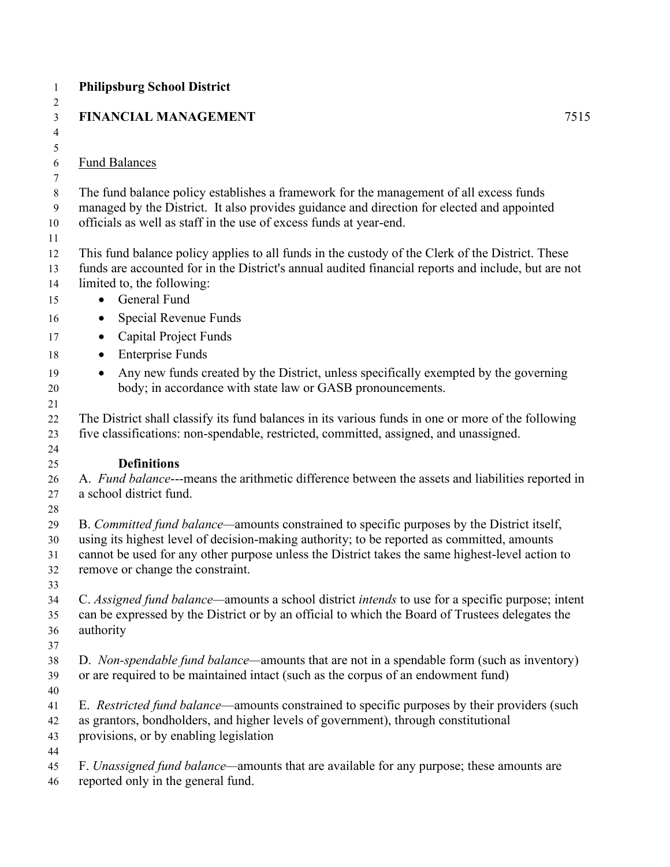| <b>Philipsburg School District</b>                                                                                                                                                                                                                                                                                              |      |
|---------------------------------------------------------------------------------------------------------------------------------------------------------------------------------------------------------------------------------------------------------------------------------------------------------------------------------|------|
| <b>FINANCIAL MANAGEMENT</b>                                                                                                                                                                                                                                                                                                     | 7515 |
| <b>Fund Balances</b>                                                                                                                                                                                                                                                                                                            |      |
| The fund balance policy establishes a framework for the management of all excess funds<br>managed by the District. It also provides guidance and direction for elected and appointed<br>officials as well as staff in the use of excess funds at year-end.                                                                      |      |
| This fund balance policy applies to all funds in the custody of the Clerk of the District. These<br>funds are accounted for in the District's annual audited financial reports and include, but are not<br>limited to, the following:                                                                                           |      |
| General Fund<br>$\bullet$                                                                                                                                                                                                                                                                                                       |      |
| Special Revenue Funds<br>$\bullet$                                                                                                                                                                                                                                                                                              |      |
| <b>Capital Project Funds</b><br>$\bullet$                                                                                                                                                                                                                                                                                       |      |
| <b>Enterprise Funds</b><br>$\bullet$<br>Any new funds created by the District, unless specifically exempted by the governing                                                                                                                                                                                                    |      |
| body; in accordance with state law or GASB pronouncements.                                                                                                                                                                                                                                                                      |      |
| The District shall classify its fund balances in its various funds in one or more of the following<br>five classifications: non-spendable, restricted, committed, assigned, and unassigned.                                                                                                                                     |      |
| <b>Definitions</b>                                                                                                                                                                                                                                                                                                              |      |
| A. Fund balance---means the arithmetic difference between the assets and liabilities reported in<br>a school district fund.                                                                                                                                                                                                     |      |
| B. Committed fund balance—amounts constrained to specific purposes by the District itself,<br>using its highest level of decision-making authority; to be reported as committed, amounts<br>cannot be used for any other purpose unless the District takes the same highest-level action to<br>remove or change the constraint. |      |
| C. Assigned fund balance—amounts a school district intends to use for a specific purpose; intent<br>can be expressed by the District or by an official to which the Board of Trustees delegates the<br>authority                                                                                                                |      |
| D. Non-spendable fund balance—amounts that are not in a spendable form (such as inventory)<br>or are required to be maintained intact (such as the corpus of an endowment fund)                                                                                                                                                 |      |
| E. Restricted fund balance—amounts constrained to specific purposes by their providers (such<br>as grantors, bondholders, and higher levels of government), through constitutional<br>provisions, or by enabling legislation                                                                                                    |      |
| F. Unassigned fund balance—amounts that are available for any purpose; these amounts are<br>reported only in the general fund.                                                                                                                                                                                                  |      |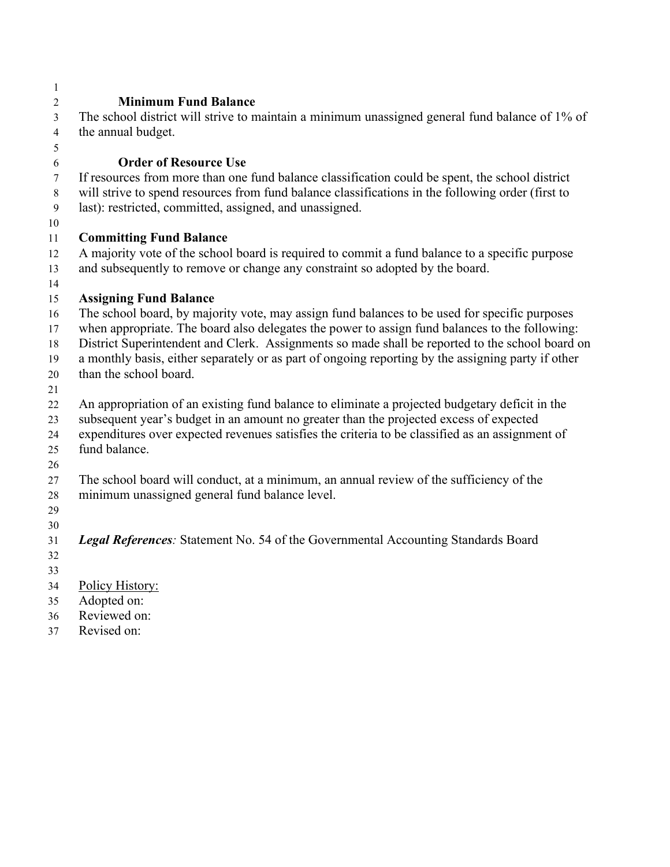| 1              |                                                                                                                                                                                |
|----------------|--------------------------------------------------------------------------------------------------------------------------------------------------------------------------------|
| $\overline{2}$ | <b>Minimum Fund Balance</b>                                                                                                                                                    |
| $\overline{3}$ | The school district will strive to maintain a minimum unassigned general fund balance of 1% of                                                                                 |
| $\overline{4}$ | the annual budget.                                                                                                                                                             |
| 5              |                                                                                                                                                                                |
| $\sqrt{6}$     | <b>Order of Resource Use</b>                                                                                                                                                   |
| $\tau$         | If resources from more than one fund balance classification could be spent, the school district                                                                                |
| 8              | will strive to spend resources from fund balance classifications in the following order (first to                                                                              |
| $\mathbf{9}$   | last): restricted, committed, assigned, and unassigned.                                                                                                                        |
| 10             |                                                                                                                                                                                |
| 11             | <b>Committing Fund Balance</b>                                                                                                                                                 |
| 12<br>13       | A majority vote of the school board is required to commit a fund balance to a specific purpose<br>and subsequently to remove or change any constraint so adopted by the board. |
| 14             |                                                                                                                                                                                |
| 15             | <b>Assigning Fund Balance</b>                                                                                                                                                  |
| 16             | The school board, by majority vote, may assign fund balances to be used for specific purposes                                                                                  |
| 17             | when appropriate. The board also delegates the power to assign fund balances to the following:                                                                                 |
| 18             | District Superintendent and Clerk. Assignments so made shall be reported to the school board on                                                                                |
| 19             | a monthly basis, either separately or as part of ongoing reporting by the assigning party if other                                                                             |
| 20             | than the school board.                                                                                                                                                         |
| 21             |                                                                                                                                                                                |
| 22             | An appropriation of an existing fund balance to eliminate a projected budgetary deficit in the                                                                                 |
| 23             | subsequent year's budget in an amount no greater than the projected excess of expected                                                                                         |
| 24             | expenditures over expected revenues satisfies the criteria to be classified as an assignment of                                                                                |
| 25             | fund balance.                                                                                                                                                                  |
| 26             |                                                                                                                                                                                |
| 27             | The school board will conduct, at a minimum, an annual review of the sufficiency of the                                                                                        |
| 28             | minimum unassigned general fund balance level.                                                                                                                                 |
| 29             |                                                                                                                                                                                |
| 30             |                                                                                                                                                                                |
| 31             | Legal References: Statement No. 54 of the Governmental Accounting Standards Board                                                                                              |
| 32             |                                                                                                                                                                                |
| 33             |                                                                                                                                                                                |
| 34<br>35       | Policy History:<br>Adopted on:                                                                                                                                                 |
| 36             | Reviewed on:                                                                                                                                                                   |
| 37             | Revised on:                                                                                                                                                                    |
|                |                                                                                                                                                                                |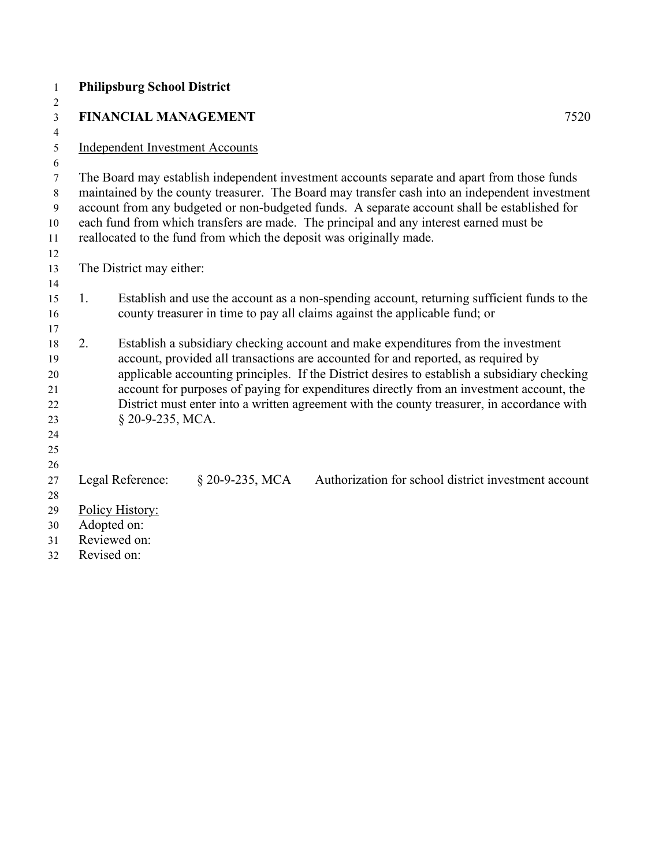| $\mathbf{1}$            | <b>Philipsburg School District</b>                                                                                                                                                     |                 |                                                                            |  |  |  |  |
|-------------------------|----------------------------------------------------------------------------------------------------------------------------------------------------------------------------------------|-----------------|----------------------------------------------------------------------------|--|--|--|--|
| $\overline{c}$          |                                                                                                                                                                                        |                 |                                                                            |  |  |  |  |
| $\overline{\mathbf{3}}$ | <b>FINANCIAL MANAGEMENT</b><br>7520                                                                                                                                                    |                 |                                                                            |  |  |  |  |
| 4                       |                                                                                                                                                                                        |                 |                                                                            |  |  |  |  |
| 5<br>6                  | <b>Independent Investment Accounts</b>                                                                                                                                                 |                 |                                                                            |  |  |  |  |
| 7                       | The Board may establish independent investment accounts separate and apart from those funds                                                                                            |                 |                                                                            |  |  |  |  |
| $8\,$                   | maintained by the county treasurer. The Board may transfer cash into an independent investment                                                                                         |                 |                                                                            |  |  |  |  |
| $\mathbf{9}$            | account from any budgeted or non-budgeted funds. A separate account shall be established for                                                                                           |                 |                                                                            |  |  |  |  |
| 10                      | each fund from which transfers are made. The principal and any interest earned must be                                                                                                 |                 |                                                                            |  |  |  |  |
| 11                      | reallocated to the fund from which the deposit was originally made.                                                                                                                    |                 |                                                                            |  |  |  |  |
| 12                      |                                                                                                                                                                                        |                 |                                                                            |  |  |  |  |
| 13                      | The District may either:                                                                                                                                                               |                 |                                                                            |  |  |  |  |
| 14                      |                                                                                                                                                                                        |                 |                                                                            |  |  |  |  |
| 15                      | 1.<br>Establish and use the account as a non-spending account, returning sufficient funds to the                                                                                       |                 |                                                                            |  |  |  |  |
| 16                      |                                                                                                                                                                                        |                 | county treasurer in time to pay all claims against the applicable fund; or |  |  |  |  |
| 17                      |                                                                                                                                                                                        |                 |                                                                            |  |  |  |  |
| 18                      | 2.<br>Establish a subsidiary checking account and make expenditures from the investment                                                                                                |                 |                                                                            |  |  |  |  |
| 19                      | account, provided all transactions are accounted for and reported, as required by                                                                                                      |                 |                                                                            |  |  |  |  |
| 20<br>21                | applicable accounting principles. If the District desires to establish a subsidiary checking                                                                                           |                 |                                                                            |  |  |  |  |
| 22                      | account for purposes of paying for expenditures directly from an investment account, the<br>District must enter into a written agreement with the county treasurer, in accordance with |                 |                                                                            |  |  |  |  |
| 23                      | § 20-9-235, MCA.                                                                                                                                                                       |                 |                                                                            |  |  |  |  |
| 24                      |                                                                                                                                                                                        |                 |                                                                            |  |  |  |  |
| 25                      |                                                                                                                                                                                        |                 |                                                                            |  |  |  |  |
| 26                      |                                                                                                                                                                                        |                 |                                                                            |  |  |  |  |
| 27                      | Legal Reference:                                                                                                                                                                       | § 20-9-235, MCA | Authorization for school district investment account                       |  |  |  |  |
| 28                      |                                                                                                                                                                                        |                 |                                                                            |  |  |  |  |
| 29                      | Policy History:                                                                                                                                                                        |                 |                                                                            |  |  |  |  |
| 30                      | Adopted on:                                                                                                                                                                            |                 |                                                                            |  |  |  |  |
| 31                      | Reviewed on:                                                                                                                                                                           |                 |                                                                            |  |  |  |  |
| 32                      | Revised on:                                                                                                                                                                            |                 |                                                                            |  |  |  |  |